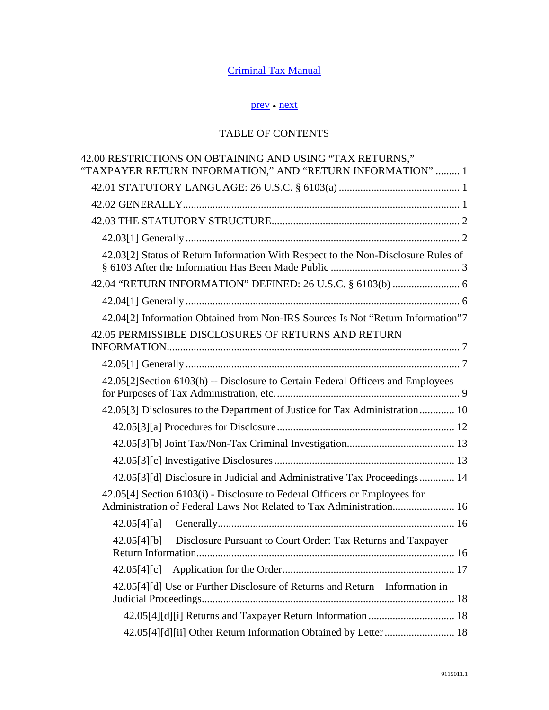## [Criminal Tax Manual](http://www.justice.gov/tax/readingroom/2008ctm/CTM%20TOC.pdf)

## [prev](http://www.justice.gov/tax/readingroom/2008ctm/CTM%20Chapter%2041.pdf) ● [next](http://www.justice.gov/tax/readingroom/2008ctm/CTM%20Chapter%2043%20Sentencing.pdf)

## TABLE OF CONTENTS

| 42.00 RESTRICTIONS ON OBTAINING AND USING "TAX RETURNS,"<br>"TAXPAYER RETURN INFORMATION," AND "RETURN INFORMATION"  1                            |
|---------------------------------------------------------------------------------------------------------------------------------------------------|
|                                                                                                                                                   |
|                                                                                                                                                   |
|                                                                                                                                                   |
|                                                                                                                                                   |
| 42.03[2] Status of Return Information With Respect to the Non-Disclosure Rules of                                                                 |
| 42.04 "RETURN INFORMATION" DEFINED: 26 U.S.C. § 6103(b)  6                                                                                        |
|                                                                                                                                                   |
| 42.04[2] Information Obtained from Non-IRS Sources Is Not "Return Information"7                                                                   |
| 42.05 PERMISSIBLE DISCLOSURES OF RETURNS AND RETURN                                                                                               |
|                                                                                                                                                   |
| 42.05[2]Section 6103(h) -- Disclosure to Certain Federal Officers and Employees                                                                   |
| 42.05[3] Disclosures to the Department of Justice for Tax Administration  10                                                                      |
|                                                                                                                                                   |
|                                                                                                                                                   |
|                                                                                                                                                   |
| 42.05[3][d] Disclosure in Judicial and Administrative Tax Proceedings 14                                                                          |
| 42.05[4] Section 6103(i) - Disclosure to Federal Officers or Employees for<br>Administration of Federal Laws Not Related to Tax Administration 16 |
|                                                                                                                                                   |
| 42.05[4][b] Disclosure Pursuant to Court Order: Tax Returns and Taxpayer                                                                          |
|                                                                                                                                                   |
| 42.05[4][d] Use or Further Disclosure of Returns and Return Information in                                                                        |
|                                                                                                                                                   |
| 42.05[4][d][ii] Other Return Information Obtained by Letter  18                                                                                   |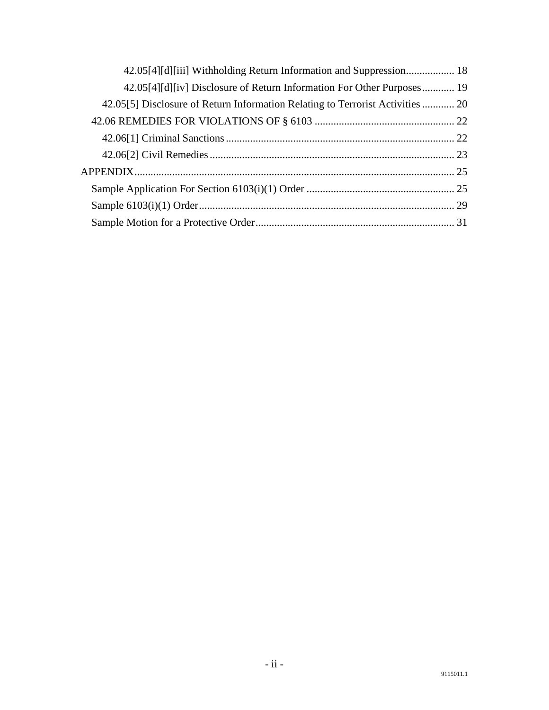| 42.05[4][d][iii] Withholding Return Information and Suppression 18             |  |
|--------------------------------------------------------------------------------|--|
| 42.05[4][d][iv] Disclosure of Return Information For Other Purposes 19         |  |
| 42.05[5] Disclosure of Return Information Relating to Terrorist Activities  20 |  |
|                                                                                |  |
|                                                                                |  |
|                                                                                |  |
|                                                                                |  |
|                                                                                |  |
|                                                                                |  |
|                                                                                |  |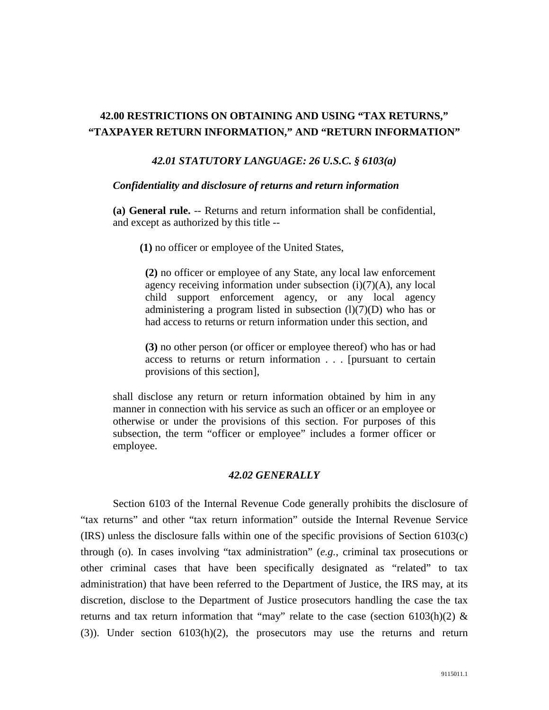## <span id="page-2-1"></span><span id="page-2-0"></span>**42.00 RESTRICTIONS ON OBTAINING AND USING "TAX RETURNS," "TAXPAYER RETURN INFORMATION," AND "RETURN INFORMATION"**

#### *42.01 STATUTORY LANGUAGE: 26 U.S.C. § 6103(a)*

#### *Confidentiality and disclosure of returns and return information*

**(a) General rule.** -- Returns and return information shall be confidential, and except as authorized by this title --

 **(1)** no officer or employee of the United States,

**(2)** no officer or employee of any State, any local law enforcement agency receiving information under subsection  $(i)(7)(A)$ , any local child support enforcement agency, or any local agency administering a program listed in subsection  $(l)(7)(D)$  who has or had access to returns or return information under this section, and

**(3)** no other person (or officer or employee thereof) who has or had access to returns or return information . . . [pursuant to certain provisions of this section],

shall disclose any return or return information obtained by him in any manner in connection with his service as such an officer or an employee or otherwise or under the provisions of this section. For purposes of this subsection, the term "officer or employee" includes a former officer or employee.

#### *42.02 GENERALLY*

<span id="page-2-2"></span> Section 6103 of the Internal Revenue Code generally prohibits the disclosure of "tax returns" and other "tax return information" outside the Internal Revenue Service (IRS) unless the disclosure falls within one of the specific provisions of Section 6103(c) through (o). In cases involving "tax administration" (*e.g.*, criminal tax prosecutions or other criminal cases that have been specifically designated as "related" to tax administration) that have been referred to the Department of Justice, the IRS may, at its discretion, disclose to the Department of Justice prosecutors handling the case the tax returns and tax return information that "may" relate to the case (section 6103(h)(2)  $\&$ (3)). Under section 6103(h)(2), the prosecutors may use the returns and return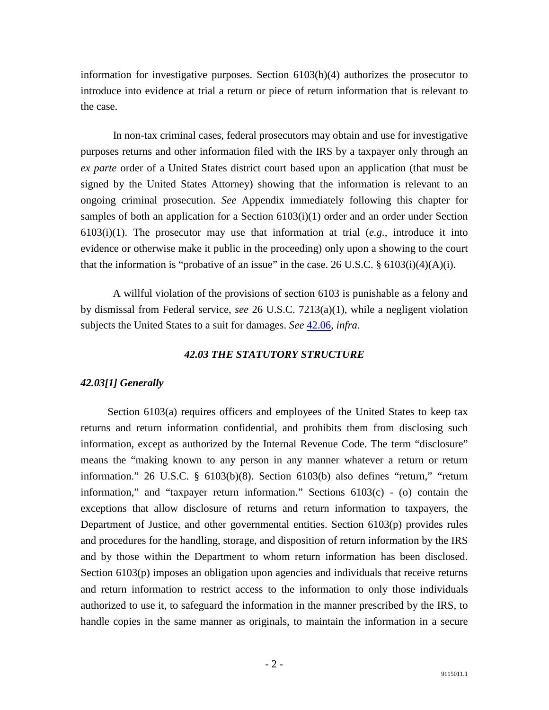information for investigative purposes. Section 6103(h)(4) authorizes the prosecutor to introduce into evidence at trial a return or piece of return information that is relevant to the case.

 In non-tax criminal cases, federal prosecutors may obtain and use for investigative purposes returns and other information filed with the IRS by a taxpayer only through an *ex parte* order of a United States district court based upon an application (that must be signed by the United States Attorney) showing that the information is relevant to an ongoing criminal prosecution. *See* Appendix immediately following this chapter for samples of both an application for a Section 6103(i)(1) order and an order under Section 6103(i)(1). The prosecutor may use that information at trial (*e.g.*, introduce it into evidence or otherwise make it public in the proceeding) only upon a showing to the court that the information is "probative of an issue" in the case. 26 U.S.C. § 6103(i)(4)(A)(i).

 A willful violation of the provisions of section 6103 is punishable as a felony and by dismissal from Federal service, *see* 26 U.S.C. 7213(a)(1), while a negligent violation subjects the United States to a suit for damages. *See* [42.06,](http://www.justice.gov/tax/readingroom/2008ctm/CTM%20Chapter%2042.htm#s42.06) *infra*.

#### *42.03 THE STATUTORY STRUCTURE*

#### <span id="page-3-1"></span><span id="page-3-0"></span>*42.03[1] Generally*

 Section 6103(a) requires officers and employees of the United States to keep tax returns and return information confidential, and prohibits them from disclosing such information, except as authorized by the Internal Revenue Code. The term "disclosure" means the "making known to any person in any manner whatever a return or return information." 26 U.S.C. § 6103(b)(8). Section 6103(b) also defines "return," "return information," and "taxpayer return information." Sections 6103(c) - (o) contain the exceptions that allow disclosure of returns and return information to taxpayers, the Department of Justice, and other governmental entities. Section 6103(p) provides rules and procedures for the handling, storage, and disposition of return information by the IRS and by those within the Department to whom return information has been disclosed. Section 6103(p) imposes an obligation upon agencies and individuals that receive returns and return information to restrict access to the information to only those individuals authorized to use it, to safeguard the information in the manner prescribed by the IRS, to handle copies in the same manner as originals, to maintain the information in a secure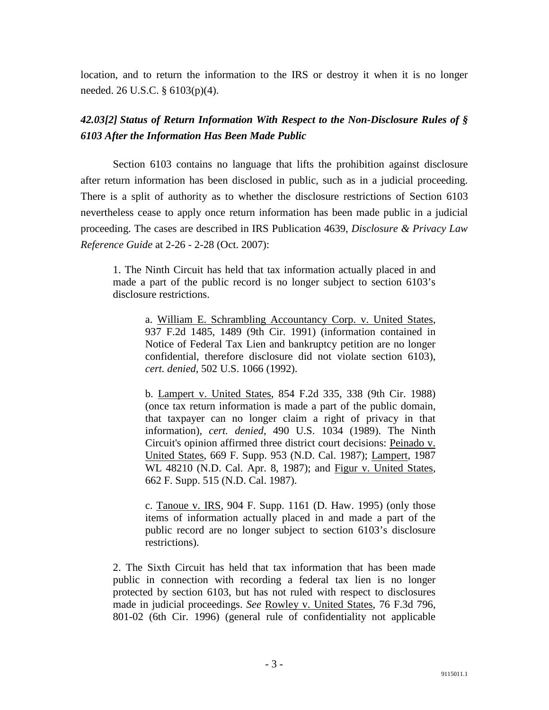location, and to return the information to the IRS or destroy it when it is no longer needed. 26 U.S.C. § 6103(p)(4).

## <span id="page-4-0"></span>*42.03[2] Status of Return Information With Respect to the Non-Disclosure Rules of § 6103 After the Information Has Been Made Public*

 Section 6103 contains no language that lifts the prohibition against disclosure after return information has been disclosed in public, such as in a judicial proceeding. There is a split of authority as to whether the disclosure restrictions of Section 6103 nevertheless cease to apply once return information has been made public in a judicial proceeding. The cases are described in IRS Publication 4639, *Disclosure & Privacy Law Reference Guide* at 2-26 - 2-28 (Oct. 2007):

1. The Ninth Circuit has held that tax information actually placed in and made a part of the public record is no longer subject to section 6103's disclosure restrictions.

a. William E. Schrambling Accountancy Corp. v. United States, 937 F.2d 1485, 1489 (9th Cir. 1991) (information contained in Notice of Federal Tax Lien and bankruptcy petition are no longer confidential, therefore disclosure did not violate section 6103), *cert. denied*, 502 U.S. 1066 (1992).

b. Lampert v. United States, 854 F.2d 335, 338 (9th Cir. 1988) (once tax return information is made a part of the public domain, that taxpayer can no longer claim a right of privacy in that information), *cert. denied*, 490 U.S. 1034 (1989). The Ninth Circuit's opinion affirmed three district court decisions: Peinado v. United States, 669 F. Supp. 953 (N.D. Cal. 1987); Lampert, 1987 WL 48210 (N.D. Cal. Apr. 8, 1987); and Figur v. United States, 662 F. Supp. 515 (N.D. Cal. 1987).

c. Tanoue v. IRS, 904 F. Supp. 1161 (D. Haw. 1995) (only those items of information actually placed in and made a part of the public record are no longer subject to section 6103's disclosure restrictions).

2. The Sixth Circuit has held that tax information that has been made public in connection with recording a federal tax lien is no longer protected by section 6103, but has not ruled with respect to disclosures made in judicial proceedings. *See* Rowley v. United States, 76 F.3d 796, 801-02 (6th Cir. 1996) (general rule of confidentiality not applicable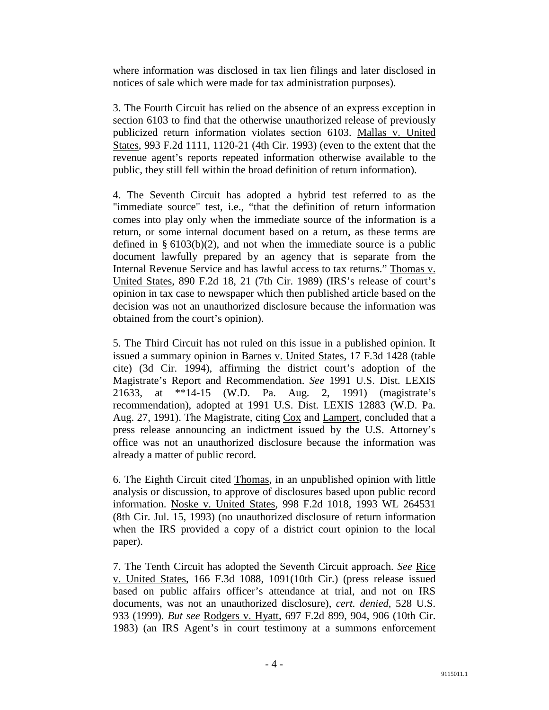where information was disclosed in tax lien filings and later disclosed in notices of sale which were made for tax administration purposes).

3. The Fourth Circuit has relied on the absence of an express exception in section 6103 to find that the otherwise unauthorized release of previously publicized return information violates section 6103. Mallas v. United States, 993 F.2d 1111, 1120-21 (4th Cir. 1993) (even to the extent that the revenue agent's reports repeated information otherwise available to the public, they still fell within the broad definition of return information).

4. The Seventh Circuit has adopted a hybrid test referred to as the "immediate source" test, i.e., "that the definition of return information comes into play only when the immediate source of the information is a return, or some internal document based on a return, as these terms are defined in  $\S 6103(b)(2)$ , and not when the immediate source is a public document lawfully prepared by an agency that is separate from the Internal Revenue Service and has lawful access to tax returns." Thomas v. United States, 890 F.2d 18, 21 (7th Cir. 1989) (IRS's release of court's opinion in tax case to newspaper which then published article based on the decision was not an unauthorized disclosure because the information was obtained from the court's opinion).

5. The Third Circuit has not ruled on this issue in a published opinion. It issued a summary opinion in Barnes v. United States, 17 F.3d 1428 (table cite) (3d Cir. 1994), affirming the district court's adoption of the Magistrate's Report and Recommendation. *See* 1991 U.S. Dist. LEXIS 21633, at \*\*14-15 (W.D. Pa. Aug. 2, 1991) (magistrate's recommendation), adopted at 1991 U.S. Dist. LEXIS 12883 (W.D. Pa. Aug. 27, 1991). The Magistrate, citing Cox and Lampert, concluded that a press release announcing an indictment issued by the U.S. Attorney's office was not an unauthorized disclosure because the information was already a matter of public record.

6. The Eighth Circuit cited Thomas, in an unpublished opinion with little analysis or discussion, to approve of disclosures based upon public record information. Noske v. United States, 998 F.2d 1018, 1993 WL 264531 (8th Cir. Jul. 15, 1993) (no unauthorized disclosure of return information when the IRS provided a copy of a district court opinion to the local paper).

7. The Tenth Circuit has adopted the Seventh Circuit approach. *See* Rice v. United States, 166 F.3d 1088, 1091(10th Cir.) (press release issued based on public affairs officer's attendance at trial, and not on IRS documents, was not an unauthorized disclosure), *cert. denied*, 528 U.S. 933 (1999). *But see* Rodgers v. Hyatt, 697 F.2d 899, 904, 906 (10th Cir. 1983) (an IRS Agent's in court testimony at a summons enforcement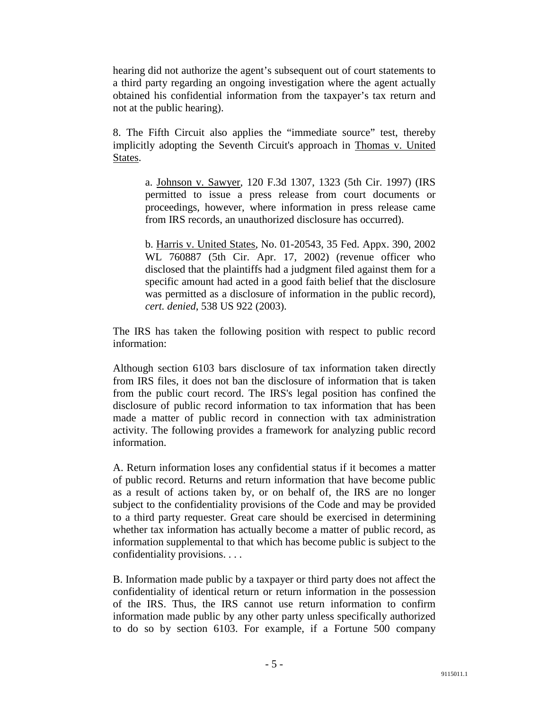hearing did not authorize the agent's subsequent out of court statements to a third party regarding an ongoing investigation where the agent actually obtained his confidential information from the taxpayer's tax return and not at the public hearing).

8. The Fifth Circuit also applies the "immediate source" test, thereby implicitly adopting the Seventh Circuit's approach in Thomas v. United States.

a. Johnson v. Sawyer, 120 F.3d 1307, 1323 (5th Cir. 1997) (IRS permitted to issue a press release from court documents or proceedings, however, where information in press release came from IRS records, an unauthorized disclosure has occurred).

b. Harris v. United States, No. 01-20543, 35 Fed. Appx. 390, 2002 WL 760887 (5th Cir. Apr. 17, 2002) (revenue officer who disclosed that the plaintiffs had a judgment filed against them for a specific amount had acted in a good faith belief that the disclosure was permitted as a disclosure of information in the public record), *cert. denied*, 538 US 922 (2003).

The IRS has taken the following position with respect to public record information:

Although section 6103 bars disclosure of tax information taken directly from IRS files, it does not ban the disclosure of information that is taken from the public court record. The IRS's legal position has confined the disclosure of public record information to tax information that has been made a matter of public record in connection with tax administration activity. The following provides a framework for analyzing public record information.

A. Return information loses any confidential status if it becomes a matter of public record. Returns and return information that have become public as a result of actions taken by, or on behalf of, the IRS are no longer subject to the confidentiality provisions of the Code and may be provided to a third party requester. Great care should be exercised in determining whether tax information has actually become a matter of public record, as information supplemental to that which has become public is subject to the confidentiality provisions. . . .

B. Information made public by a taxpayer or third party does not affect the confidentiality of identical return or return information in the possession of the IRS. Thus, the IRS cannot use return information to confirm information made public by any other party unless specifically authorized to do so by section 6103. For example, if a Fortune 500 company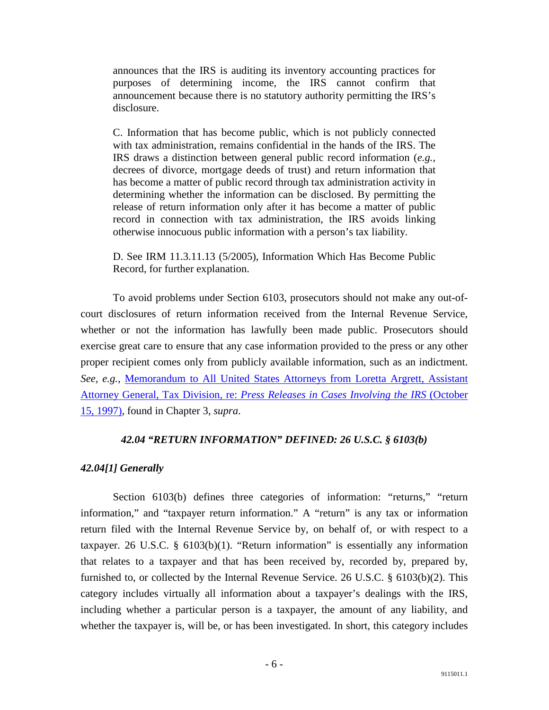announces that the IRS is auditing its inventory accounting practices for purposes of determining income, the IRS cannot confirm that announcement because there is no statutory authority permitting the IRS's disclosure.

C. Information that has become public, which is not publicly connected with tax administration, remains confidential in the hands of the IRS. The IRS draws a distinction between general public record information (*e.g.*, decrees of divorce, mortgage deeds of trust) and return information that has become a matter of public record through tax administration activity in determining whether the information can be disclosed. By permitting the release of return information only after it has become a matter of public record in connection with tax administration, the IRS avoids linking otherwise innocuous public information with a person's tax liability.

D. See IRM 11.3.11.13 (5/2005), Information Which Has Become Public Record, for further explanation.

 To avoid problems under Section 6103, prosecutors should not make any out-ofcourt disclosures of return information received from the Internal Revenue Service, whether or not the information has lawfully been made public. Prosecutors should exercise great care to ensure that any case information provided to the press or any other proper recipient comes only from publicly available information, such as an indictment. *See, e.g.*, [Memorandum to All United States Attorneys from Loretta Argrett, Assistant](http://www.justice.gov/tax/readingroom/2008ctm/CTM%20Chapter%203.htm#TOC1_11)  Attorney General, Tax Division, re: *[Press Releases in Cases Involving the IRS](http://www.justice.gov/tax/readingroom/2008ctm/CTM%20Chapter%203.htm#TOC1_11)* (October [15, 1997\),](http://www.justice.gov/tax/readingroom/2008ctm/CTM%20Chapter%203.htm#TOC1_11) found in Chapter 3, *supra*.

#### *42.04 "RETURN INFORMATION" DEFINED: 26 U.S.C. § 6103(b)*

#### <span id="page-7-1"></span><span id="page-7-0"></span>*42.04[1] Generally*

Section 6103(b) defines three categories of information: "returns," "return information," and "taxpayer return information." A "return" is any tax or information return filed with the Internal Revenue Service by, on behalf of, or with respect to a taxpayer. 26 U.S.C. § 6103(b)(1). "Return information" is essentially any information that relates to a taxpayer and that has been received by, recorded by, prepared by, furnished to, or collected by the Internal Revenue Service. 26 U.S.C. § 6103(b)(2). This category includes virtually all information about a taxpayer's dealings with the IRS, including whether a particular person is a taxpayer, the amount of any liability, and whether the taxpayer is, will be, or has been investigated. In short, this category includes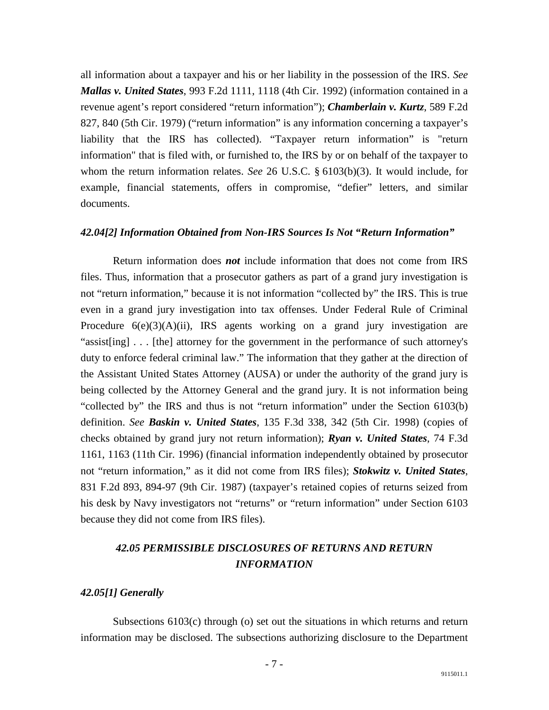all information about a taxpayer and his or her liability in the possession of the IRS. *See Mallas v. United States*, 993 F.2d 1111, 1118 (4th Cir. 1992) (information contained in a revenue agent's report considered "return information"); *Chamberlain v. Kurtz*, 589 F.2d 827, 840 (5th Cir. 1979) ("return information" is any information concerning a taxpayer's liability that the IRS has collected). "Taxpayer return information" is "return information" that is filed with, or furnished to, the IRS by or on behalf of the taxpayer to whom the return information relates. *See* 26 U.S.C. § 6103(b)(3). It would include, for example, financial statements, offers in compromise, "defier" letters, and similar documents.

#### <span id="page-8-0"></span>*42.04[2] Information Obtained from Non-IRS Sources Is Not "Return Information"*

 Return information does *not* include information that does not come from IRS files. Thus, information that a prosecutor gathers as part of a grand jury investigation is not "return information," because it is not information "collected by" the IRS. This is true even in a grand jury investigation into tax offenses. Under Federal Rule of Criminal Procedure  $6(e)(3)(A)(ii)$ , IRS agents working on a grand jury investigation are "assist[ing] . . . [the] attorney for the government in the performance of such attorney's duty to enforce federal criminal law." The information that they gather at the direction of the Assistant United States Attorney (AUSA) or under the authority of the grand jury is being collected by the Attorney General and the grand jury. It is not information being "collected by" the IRS and thus is not "return information" under the Section 6103(b) definition. *See Baskin v. United States*, 135 F.3d 338, 342 (5th Cir. 1998) (copies of checks obtained by grand jury not return information); *Ryan v. United States*, 74 F.3d 1161, 1163 (11th Cir. 1996) (financial information independently obtained by prosecutor not "return information," as it did not come from IRS files); *Stokwitz v. United States*, 831 F.2d 893, 894-97 (9th Cir. 1987) (taxpayer's retained copies of returns seized from his desk by Navy investigators not "returns" or "return information" under Section 6103 because they did not come from IRS files).

## <span id="page-8-1"></span>*42.05 PERMISSIBLE DISCLOSURES OF RETURNS AND RETURN INFORMATION*

#### <span id="page-8-2"></span>*42.05[1] Generally*

 Subsections 6103(c) through (o) set out the situations in which returns and return information may be disclosed. The subsections authorizing disclosure to the Department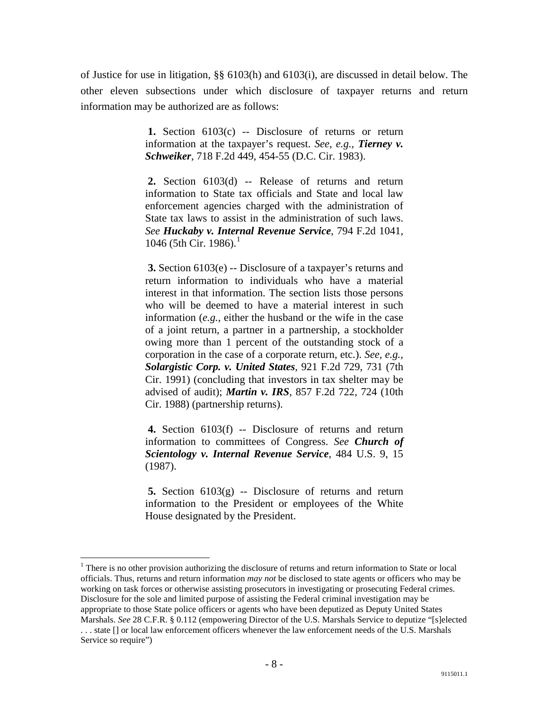of Justice for use in litigation, §§ 6103(h) and 6103(i), are discussed in detail below. The other eleven subsections under which disclosure of taxpayer returns and return information may be authorized are as follows:

> **1.** Section 6103(c) -- Disclosure of returns or return information at the taxpayer's request. *See, e.g., Tierney v. Schweiker*, 718 F.2d 449, 454-55 (D.C. Cir. 1983).

> **2.** Section 6103(d) -- Release of returns and return information to State tax officials and State and local law enforcement agencies charged with the administration of State tax laws to assist in the administration of such laws. *See Huckaby v. Internal Revenue Service*, 794 F.2d 1041, [1](#page-9-0)046 (5th Cir. 1986).<sup>1</sup>

> **3.** Section 6103(e) -- Disclosure of a taxpayer's returns and return information to individuals who have a material interest in that information. The section lists those persons who will be deemed to have a material interest in such information (*e.g.*, either the husband or the wife in the case of a joint return, a partner in a partnership, a stockholder owing more than 1 percent of the outstanding stock of a corporation in the case of a corporate return, etc.). *See, e.g., Solargistic Corp. v. United States*, 921 F.2d 729, 731 (7th Cir. 1991) (concluding that investors in tax shelter may be advised of audit); *Martin v. IRS*, 857 F.2d 722, 724 (10th Cir. 1988) (partnership returns).

> **4.** Section 6103(f) -- Disclosure of returns and return information to committees of Congress. *See Church of Scientology v. Internal Revenue Service*, 484 U.S. 9, 15 (1987).

> **5.** Section 6103(g) -- Disclosure of returns and return information to the President or employees of the White House designated by the President.

<span id="page-9-0"></span><sup>&</sup>lt;sup>1</sup> There is no other provision authorizing the disclosure of returns and return information to State or local officials. Thus, returns and return information *may not* be disclosed to state agents or officers who may be working on task forces or otherwise assisting prosecutors in investigating or prosecuting Federal crimes. Disclosure for the sole and limited purpose of assisting the Federal criminal investigation may be appropriate to those State police officers or agents who have been deputized as Deputy United States Marshals. *See* 28 C.F.R. § 0.112 (empowering Director of the U.S. Marshals Service to deputize "[s]elected . . . state [] or local law enforcement officers whenever the law enforcement needs of the U.S. Marshals Service so require")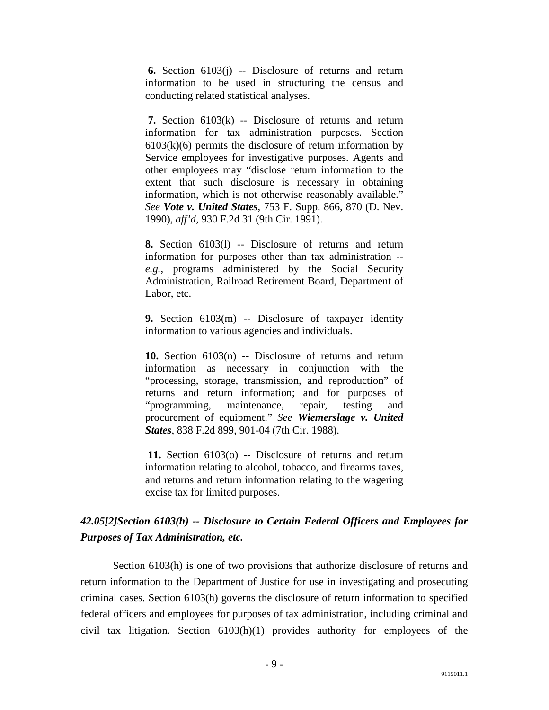**6.** Section 6103(j) -- Disclosure of returns and return information to be used in structuring the census and conducting related statistical analyses.

**7.** Section 6103(k) -- Disclosure of returns and return information for tax administration purposes. Section  $6103(k)(6)$  permits the disclosure of return information by Service employees for investigative purposes. Agents and other employees may "disclose return information to the extent that such disclosure is necessary in obtaining information, which is not otherwise reasonably available." *See Vote v. United States*, 753 F. Supp. 866, 870 (D. Nev. 1990), *aff'd*, 930 F.2d 31 (9th Cir. 1991).

**8.** Section 6103(l) -- Disclosure of returns and return information for purposes other than tax administration - *e.g.*, programs administered by the Social Security Administration, Railroad Retirement Board, Department of Labor, etc.

**9.** Section 6103(m) -- Disclosure of taxpayer identity information to various agencies and individuals.

**10.** Section 6103(n) -- Disclosure of returns and return information as necessary in conjunction with the "processing, storage, transmission, and reproduction" of returns and return information; and for purposes of "programming, maintenance, repair, testing and procurement of equipment." *See Wiemerslage v. United States*, 838 F.2d 899, 901-04 (7th Cir. 1988).

**11.** Section 6103(o) -- Disclosure of returns and return information relating to alcohol, tobacco, and firearms taxes, and returns and return information relating to the wagering excise tax for limited purposes.

## <span id="page-10-0"></span>*42.05[2]Section 6103(h) -- Disclosure to Certain Federal Officers and Employees for Purposes of Tax Administration, etc.*

 Section 6103(h) is one of two provisions that authorize disclosure of returns and return information to the Department of Justice for use in investigating and prosecuting criminal cases. Section 6103(h) governs the disclosure of return information to specified federal officers and employees for purposes of tax administration, including criminal and civil tax litigation. Section 6103(h)(1) provides authority for employees of the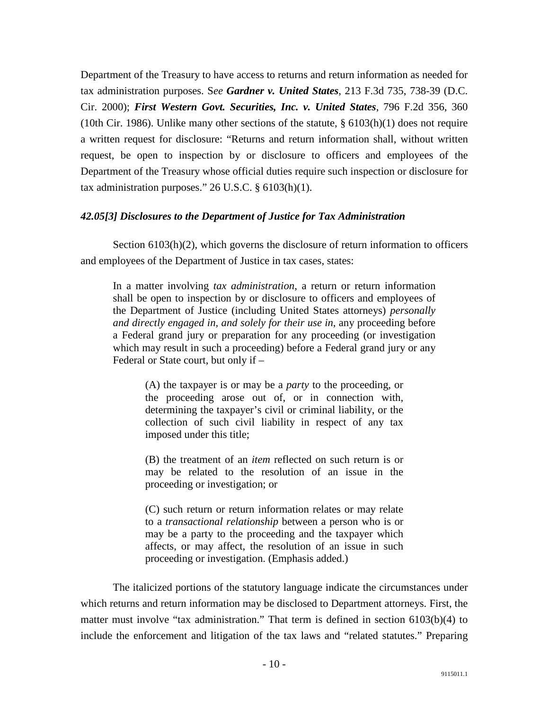Department of the Treasury to have access to returns and return information as needed for tax administration purposes. S*ee Gardner v. United States*, 213 F.3d 735, 738-39 (D.C. Cir. 2000); *First Western Govt. Securities, Inc. v. United States*, 796 F.2d 356, 360 (10th Cir. 1986). Unlike many other sections of the statute,  $\S 6103(h)(1)$  does not require a written request for disclosure: "Returns and return information shall, without written request, be open to inspection by or disclosure to officers and employees of the Department of the Treasury whose official duties require such inspection or disclosure for tax administration purposes."  $26$  U.S.C.  $\S$  6103(h)(1).

### <span id="page-11-0"></span>*42.05[3] Disclosures to the Department of Justice for Tax Administration*

Section 6103(h)(2), which governs the disclosure of return information to officers and employees of the Department of Justice in tax cases, states:

In a matter involving *tax administration*, a return or return information shall be open to inspection by or disclosure to officers and employees of the Department of Justice (including United States attorneys) *personally and directly engaged in, and solely for their use in*, any proceeding before a Federal grand jury or preparation for any proceeding (or investigation which may result in such a proceeding) before a Federal grand jury or any Federal or State court, but only if –

> (A) the taxpayer is or may be a *party* to the proceeding, or the proceeding arose out of, or in connection with, determining the taxpayer's civil or criminal liability, or the collection of such civil liability in respect of any tax imposed under this title;

> (B) the treatment of an *item* reflected on such return is or may be related to the resolution of an issue in the proceeding or investigation; or

> (C) such return or return information relates or may relate to a *transactional relationship* between a person who is or may be a party to the proceeding and the taxpayer which affects, or may affect, the resolution of an issue in such proceeding or investigation. (Emphasis added.)

 The italicized portions of the statutory language indicate the circumstances under which returns and return information may be disclosed to Department attorneys. First, the matter must involve "tax administration." That term is defined in section 6103(b)(4) to include the enforcement and litigation of the tax laws and "related statutes." Preparing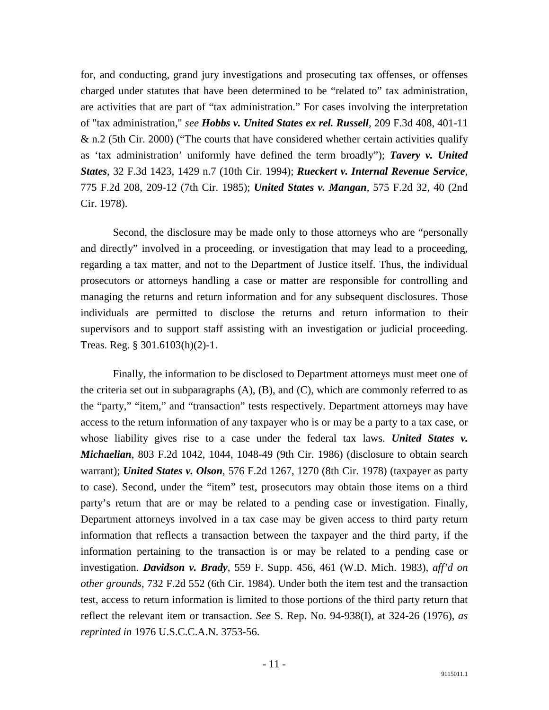for, and conducting, grand jury investigations and prosecuting tax offenses, or offenses charged under statutes that have been determined to be "related to" tax administration, are activities that are part of "tax administration." For cases involving the interpretation of "tax administration," *see Hobbs v. United States ex rel. Russell*, 209 F.3d 408, 401-11 & n.2 (5th Cir. 2000) ("The courts that have considered whether certain activities qualify as 'tax administration' uniformly have defined the term broadly"); *Tavery v. United States*, 32 F.3d 1423, 1429 n.7 (10th Cir. 1994); *Rueckert v. Internal Revenue Service*, 775 F.2d 208, 209-12 (7th Cir. 1985); *United States v. Mangan*, 575 F.2d 32, 40 (2nd Cir. 1978).

 Second, the disclosure may be made only to those attorneys who are "personally and directly" involved in a proceeding, or investigation that may lead to a proceeding, regarding a tax matter, and not to the Department of Justice itself. Thus, the individual prosecutors or attorneys handling a case or matter are responsible for controlling and managing the returns and return information and for any subsequent disclosures. Those individuals are permitted to disclose the returns and return information to their supervisors and to support staff assisting with an investigation or judicial proceeding. Treas. Reg. § 301.6103(h)(2)-1.

 Finally, the information to be disclosed to Department attorneys must meet one of the criteria set out in subparagraphs  $(A)$ ,  $(B)$ , and  $(C)$ , which are commonly referred to as the "party," "item," and "transaction" tests respectively. Department attorneys may have access to the return information of any taxpayer who is or may be a party to a tax case, or whose liability gives rise to a case under the federal tax laws. *United States v. Michaelian*, 803 F.2d 1042, 1044, 1048-49 (9th Cir. 1986) (disclosure to obtain search warrant); *United States v. Olson*, 576 F.2d 1267, 1270 (8th Cir. 1978) (taxpayer as party to case). Second, under the "item" test, prosecutors may obtain those items on a third party's return that are or may be related to a pending case or investigation. Finally, Department attorneys involved in a tax case may be given access to third party return information that reflects a transaction between the taxpayer and the third party, if the information pertaining to the transaction is or may be related to a pending case or investigation. *Davidson v. Brady*, 559 F. Supp. 456, 461 (W.D. Mich. 1983), *aff'd on other grounds*, 732 F.2d 552 (6th Cir. 1984). Under both the item test and the transaction test, access to return information is limited to those portions of the third party return that reflect the relevant item or transaction. *See* S. Rep. No. 94-938(I), at 324-26 (1976), *as reprinted in* 1976 U.S.C.C.A.N. 3753-56.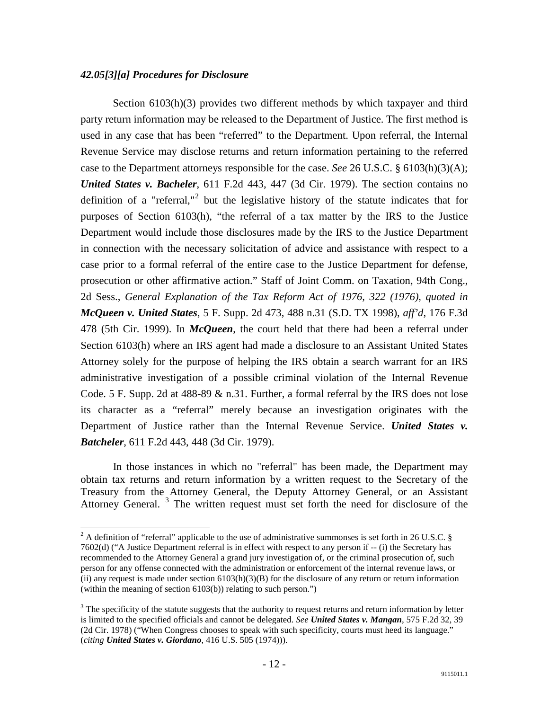#### <span id="page-13-0"></span>*42.05[3][a] Procedures for Disclosure*

 Section 6103(h)(3) provides two different methods by which taxpayer and third party return information may be released to the Department of Justice. The first method is used in any case that has been "referred" to the Department. Upon referral, the Internal Revenue Service may disclose returns and return information pertaining to the referred case to the Department attorneys responsible for the case. *See* 26 U.S.C. § 6103(h)(3)(A); *United States v. Bacheler*, 611 F.2d 443, 447 (3d Cir. 1979). The section contains no definition of a "referral,"<sup>[2](#page-13-1)</sup> but the legislative history of the statute indicates that for purposes of Section 6103(h), "the referral of a tax matter by the IRS to the Justice Department would include those disclosures made by the IRS to the Justice Department in connection with the necessary solicitation of advice and assistance with respect to a case prior to a formal referral of the entire case to the Justice Department for defense, prosecution or other affirmative action." Staff of Joint Comm. on Taxation, 94th Cong., 2d Sess., *General Explanation of the Tax Reform Act of 1976, 322 (1976)*, *quoted in McQueen v. United States*, 5 F. Supp. 2d 473, 488 n.31 (S.D. TX 1998), *aff'd*, 176 F.3d 478 (5th Cir. 1999). In *McQueen*, the court held that there had been a referral under Section 6103(h) where an IRS agent had made a disclosure to an Assistant United States Attorney solely for the purpose of helping the IRS obtain a search warrant for an IRS administrative investigation of a possible criminal violation of the Internal Revenue Code. 5 F. Supp. 2d at 488-89 & n.31. Further, a formal referral by the IRS does not lose its character as a "referral" merely because an investigation originates with the Department of Justice rather than the Internal Revenue Service. *United States v. Batcheler*, 611 F.2d 443, 448 (3d Cir. 1979).

 In those instances in which no "referral" has been made, the Department may obtain tax returns and return information by a written request to the Secretary of the Treasury from the Attorney General, the Deputy Attorney General, or an Assistant Attorney General. [3](#page-13-2) The written request must set forth the need for disclosure of the

<span id="page-13-1"></span><sup>&</sup>lt;sup>2</sup> A definition of "referral" applicable to the use of administrative summonses is set forth in 26 U.S.C. § 7602(d) ("A Justice Department referral is in effect with respect to any person if -- (i) the Secretary has recommended to the Attorney General a grand jury investigation of, or the criminal prosecution of, such person for any offense connected with the administration or enforcement of the internal revenue laws, or (ii) any request is made under section  $6103(h)(3)(B)$  for the disclosure of any return or return information (within the meaning of section 6103(b)) relating to such person.")

<span id="page-13-2"></span> $3$  The specificity of the statute suggests that the authority to request returns and return information by letter is limited to the specified officials and cannot be delegated. *See United States v. Mangan*, 575 F.2d 32, 39 (2d Cir. 1978) ("When Congress chooses to speak with such specificity, courts must heed its language." (*citing United States v. Giordano*, 416 U.S. 505 (1974))).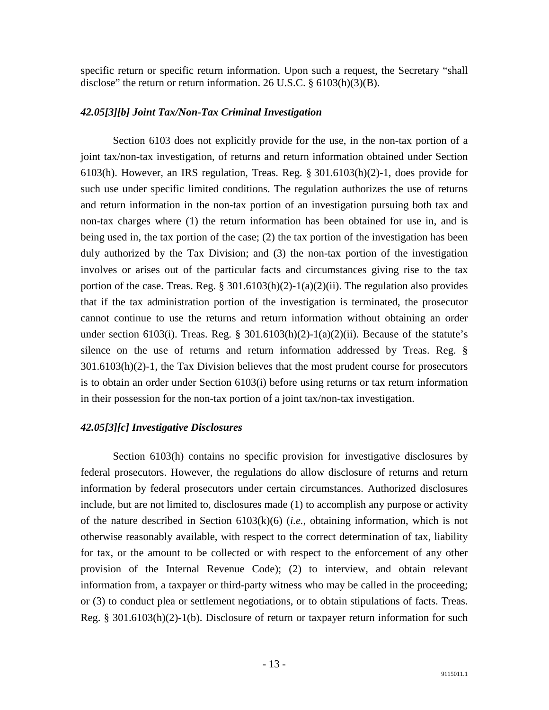specific return or specific return information. Upon such a request, the Secretary "shall disclose" the return or return information. 26 U.S.C. § 6103(h)(3)(B).

#### <span id="page-14-0"></span>*42.05[3][b] Joint Tax/Non-Tax Criminal Investigation*

 Section 6103 does not explicitly provide for the use, in the non-tax portion of a joint tax/non-tax investigation, of returns and return information obtained under Section 6103(h). However, an IRS regulation, Treas. Reg. § 301.6103(h)(2)-1, does provide for such use under specific limited conditions. The regulation authorizes the use of returns and return information in the non-tax portion of an investigation pursuing both tax and non-tax charges where (1) the return information has been obtained for use in, and is being used in, the tax portion of the case; (2) the tax portion of the investigation has been duly authorized by the Tax Division; and (3) the non-tax portion of the investigation involves or arises out of the particular facts and circumstances giving rise to the tax portion of the case. Treas. Reg. §  $301.6103(h)(2)-1(a)(2)(ii)$ . The regulation also provides that if the tax administration portion of the investigation is terminated, the prosecutor cannot continue to use the returns and return information without obtaining an order under section 6103(i). Treas. Reg. § 301.6103(h)(2)-1(a)(2)(ii). Because of the statute's silence on the use of returns and return information addressed by Treas. Reg. § 301.6103(h)(2)-1, the Tax Division believes that the most prudent course for prosecutors is to obtain an order under Section 6103(i) before using returns or tax return information in their possession for the non-tax portion of a joint tax/non-tax investigation.

#### <span id="page-14-1"></span>*42.05[3][c] Investigative Disclosures*

 Section 6103(h) contains no specific provision for investigative disclosures by federal prosecutors. However, the regulations do allow disclosure of returns and return information by federal prosecutors under certain circumstances. Authorized disclosures include, but are not limited to, disclosures made (1) to accomplish any purpose or activity of the nature described in Section 6103(k)(6) (*i.e.*, obtaining information, which is not otherwise reasonably available, with respect to the correct determination of tax, liability for tax, or the amount to be collected or with respect to the enforcement of any other provision of the Internal Revenue Code); (2) to interview, and obtain relevant information from, a taxpayer or third-party witness who may be called in the proceeding; or (3) to conduct plea or settlement negotiations, or to obtain stipulations of facts. Treas. Reg. § 301.6103(h)(2)-1(b). Disclosure of return or taxpayer return information for such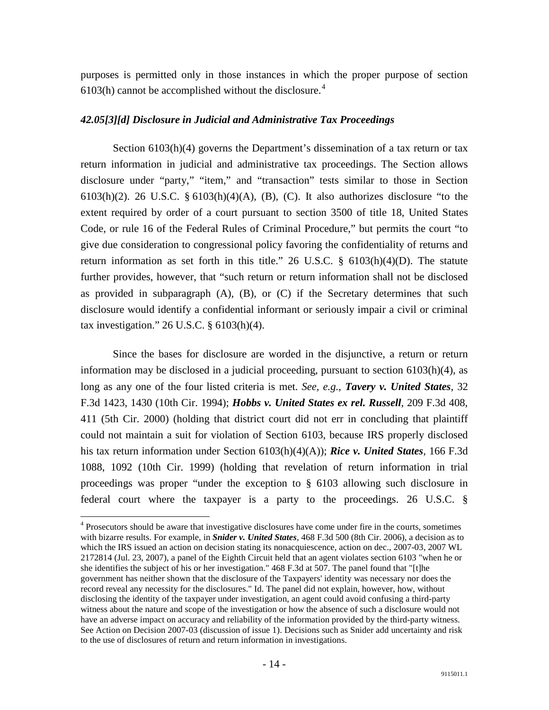purposes is permitted only in those instances in which the proper purpose of section 6103(h) cannot be accomplished without the disclosure. $4$ 

#### <span id="page-15-0"></span>*42.05[3][d] Disclosure in Judicial and Administrative Tax Proceedings*

Section 6103(h)(4) governs the Department's dissemination of a tax return or tax return information in judicial and administrative tax proceedings. The Section allows disclosure under "party," "item," and "transaction" tests similar to those in Section 6103(h)(2). 26 U.S.C.  $\S$  6103(h)(4)(A), (B), (C). It also authorizes disclosure "to the extent required by order of a court pursuant to section 3500 of title 18, United States Code, or rule 16 of the Federal Rules of Criminal Procedure," but permits the court "to give due consideration to congressional policy favoring the confidentiality of returns and return information as set forth in this title." 26 U.S.C.  $\S$  6103(h)(4)(D). The statute further provides, however, that "such return or return information shall not be disclosed as provided in subparagraph  $(A)$ ,  $(B)$ , or  $(C)$  if the Secretary determines that such disclosure would identify a confidential informant or seriously impair a civil or criminal tax investigation." 26 U.S.C. § 6103(h)(4).

 Since the bases for disclosure are worded in the disjunctive, a return or return information may be disclosed in a judicial proceeding, pursuant to section  $6103(h)(4)$ , as long as any one of the four listed criteria is met. *See, e.g.*, *Tavery v. United States*, 32 F.3d 1423, 1430 (10th Cir. 1994); *Hobbs v. United States ex rel. Russell*, 209 F.3d 408, 411 (5th Cir. 2000) (holding that district court did not err in concluding that plaintiff could not maintain a suit for violation of Section 6103, because IRS properly disclosed his tax return information under Section 6103(h)(4)(A)); *Rice v. United States*, 166 F.3d 1088, 1092 (10th Cir. 1999) (holding that revelation of return information in trial proceedings was proper "under the exception to § 6103 allowing such disclosure in federal court where the taxpayer is a party to the proceedings. 26 U.S.C. §

<span id="page-15-1"></span><sup>&</sup>lt;sup>4</sup> Prosecutors should be aware that investigative disclosures have come under fire in the courts, sometimes with bizarre results. For example, in *Snider v. United States*, 468 F.3d 500 (8th Cir. 2006), a decision as to which the IRS issued an action on decision stating its nonacquiescence, action on dec., 2007-03, 2007 WL 2172814 (Jul. 23, 2007), a panel of the Eighth Circuit held that an agent violates section 6103 "when he or she identifies the subject of his or her investigation." 468 F.3d at 507. The panel found that "[t]he government has neither shown that the disclosure of the Taxpayers' identity was necessary nor does the record reveal any necessity for the disclosures." Id. The panel did not explain, however, how, without disclosing the identity of the taxpayer under investigation, an agent could avoid confusing a third-party witness about the nature and scope of the investigation or how the absence of such a disclosure would not have an adverse impact on accuracy and reliability of the information provided by the third-party witness. See Action on Decision 2007-03 (discussion of issue 1). Decisions such as Snider add uncertainty and risk to the use of disclosures of return and return information in investigations.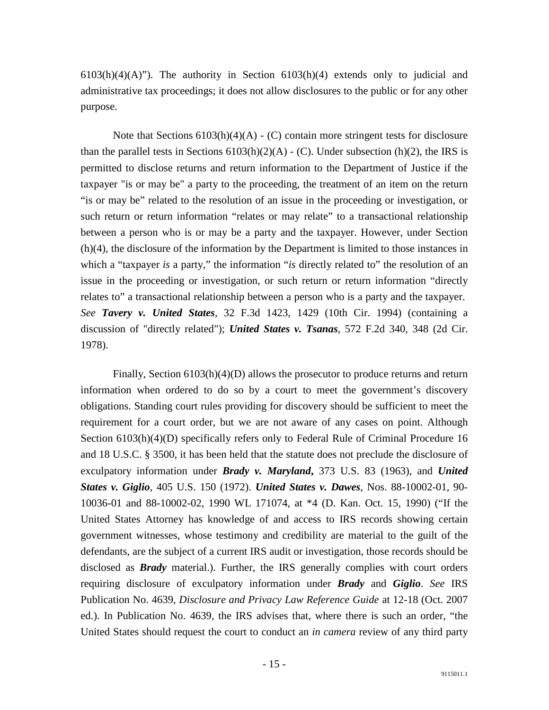$6103(h)(4)(A)$ "). The authority in Section  $6103(h)(4)$  extends only to judicial and administrative tax proceedings; it does not allow disclosures to the public or for any other purpose.

Note that Sections  $6103(h)(4)(A) - (C)$  contain more stringent tests for disclosure than the parallel tests in Sections  $6103(h)(2)(A)$  - (C). Under subsection (h)(2), the IRS is permitted to disclose returns and return information to the Department of Justice if the taxpayer "is or may be" a party to the proceeding, the treatment of an item on the return "is or may be" related to the resolution of an issue in the proceeding or investigation, or such return or return information "relates or may relate" to a transactional relationship between a person who is or may be a party and the taxpayer. However, under Section (h)(4), the disclosure of the information by the Department is limited to those instances in which a "taxpayer *is* a party," the information "*is* directly related to" the resolution of an issue in the proceeding or investigation, or such return or return information "directly relates to" a transactional relationship between a person who is a party and the taxpayer. *See Tavery v. United States*, 32 F.3d 1423, 1429 (10th Cir. 1994) (containing a discussion of "directly related"); *United States v. Tsanas*, 572 F.2d 340, 348 (2d Cir. 1978).

 Finally, Section 6103(h)(4)(D) allows the prosecutor to produce returns and return information when ordered to do so by a court to meet the government's discovery obligations. Standing court rules providing for discovery should be sufficient to meet the requirement for a court order, but we are not aware of any cases on point. Although Section 6103(h)(4)(D) specifically refers only to Federal Rule of Criminal Procedure 16 and 18 U.S.C. § 3500, it has been held that the statute does not preclude the disclosure of exculpatory information under *Brady v. Maryland***,** 373 U.S. 83 (1963), and *United States v. Giglio*, 405 U.S. 150 (1972). *United States v. Dawes*, Nos. 88-10002-01, 90- 10036-01 and 88-10002-02, 1990 WL 171074, at \*4 (D. Kan. Oct. 15, 1990) ("If the United States Attorney has knowledge of and access to IRS records showing certain government witnesses, whose testimony and credibility are material to the guilt of the defendants, are the subject of a current IRS audit or investigation, those records should be disclosed as *Brady* material.). Further, the IRS generally complies with court orders requiring disclosure of exculpatory information under *Brady* and *Giglio*. *See* IRS Publication No. 4639, *Disclosure and Privacy Law Reference Guide* at 12-18 (Oct. 2007 ed.). In Publication No. 4639, the IRS advises that, where there is such an order, "the United States should request the court to conduct an *in camera* review of any third party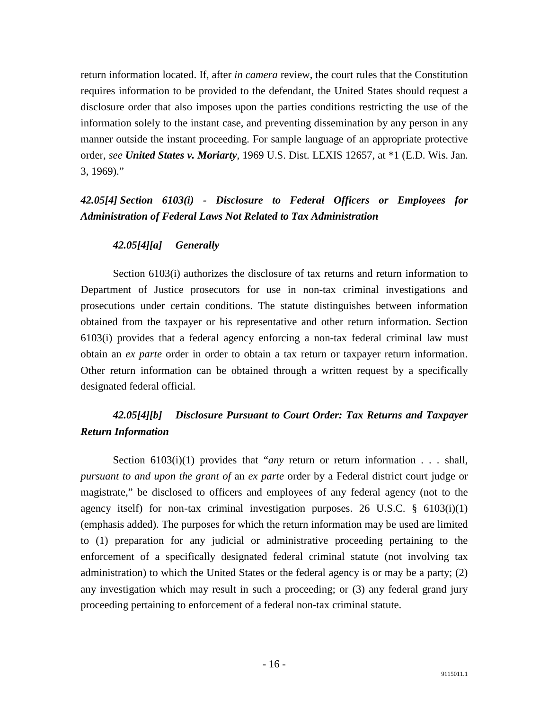return information located. If, after *in camera* review, the court rules that the Constitution requires information to be provided to the defendant, the United States should request a disclosure order that also imposes upon the parties conditions restricting the use of the information solely to the instant case, and preventing dissemination by any person in any manner outside the instant proceeding. For sample language of an appropriate protective order, *see United States v. Moriarty*, 1969 U.S. Dist. LEXIS 12657, at \*1 (E.D. Wis. Jan. 3, 1969)."

## <span id="page-17-0"></span>*42.05[4] Section 6103(i) - Disclosure to Federal Officers or Employees for Administration of Federal Laws Not Related to Tax Administration*

#### <span id="page-17-1"></span> *42.05[4][a] Generally*

 Section 6103(i) authorizes the disclosure of tax returns and return information to Department of Justice prosecutors for use in non-tax criminal investigations and prosecutions under certain conditions. The statute distinguishes between information obtained from the taxpayer or his representative and other return information. Section 6103(i) provides that a federal agency enforcing a non-tax federal criminal law must obtain an *ex parte* order in order to obtain a tax return or taxpayer return information. Other return information can be obtained through a written request by a specifically designated federal official.

## <span id="page-17-2"></span> *42.05[4][b] Disclosure Pursuant to Court Order: Tax Returns and Taxpayer Return Information*

 Section 6103(i)(1) provides that "*any* return or return information *. . .* shall, *pursuant to and upon the grant of* an *ex parte* order by a Federal district court judge or magistrate," be disclosed to officers and employees of any federal agency (not to the agency itself) for non-tax criminal investigation purposes. 26 U.S.C.  $\S$  6103(i)(1) (emphasis added). The purposes for which the return information may be used are limited to (1) preparation for any judicial or administrative proceeding pertaining to the enforcement of a specifically designated federal criminal statute (not involving tax administration) to which the United States or the federal agency is or may be a party; (2) any investigation which may result in such a proceeding; or (3) any federal grand jury proceeding pertaining to enforcement of a federal non-tax criminal statute.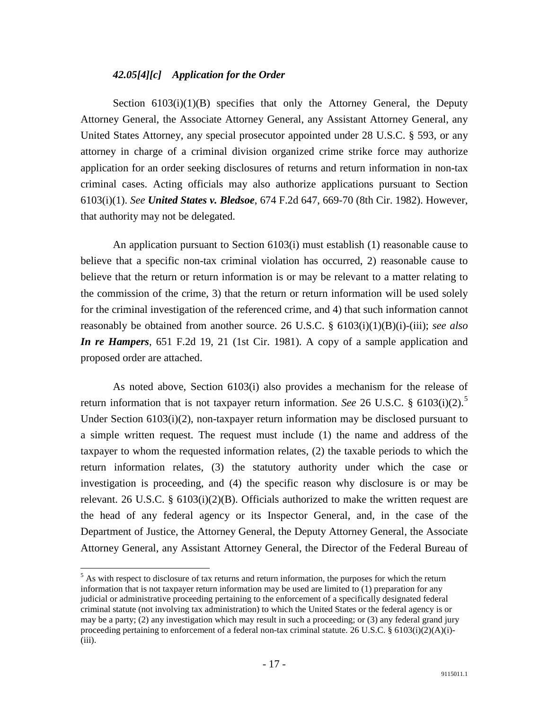### <span id="page-18-0"></span> *42.05[4][c] Application for the Order*

Section  $6103(i)(1)(B)$  specifies that only the Attorney General, the Deputy Attorney General, the Associate Attorney General, any Assistant Attorney General, any United States Attorney, any special prosecutor appointed under 28 U.S.C. § 593, or any attorney in charge of a criminal division organized crime strike force may authorize application for an order seeking disclosures of returns and return information in non-tax criminal cases. Acting officials may also authorize applications pursuant to Section 6103(i)(1). *See United States v. Bledsoe*, 674 F.2d 647, 669-70 (8th Cir. 1982). However, that authority may not be delegated.

 An application pursuant to Section 6103(i) must establish (1) reasonable cause to believe that a specific non-tax criminal violation has occurred, 2) reasonable cause to believe that the return or return information is or may be relevant to a matter relating to the commission of the crime, 3) that the return or return information will be used solely for the criminal investigation of the referenced crime, and 4) that such information cannot reasonably be obtained from another source. 26 U.S.C. § 6103(i)(1)(B)(i)-(iii); *see also In re Hampers*, 651 F.2d 19, 21 (1st Cir. 1981). A copy of a sample application and proposed order are attached.

 As noted above, Section 6103(i) also provides a mechanism for the release of return information that is not taxpayer return information. *See* 26 U.S.C. § 6103(i)(2).<sup>[5](#page-18-1)</sup> Under Section 6103(i)(2), non-taxpayer return information may be disclosed pursuant to a simple written request. The request must include (1) the name and address of the taxpayer to whom the requested information relates, (2) the taxable periods to which the return information relates, (3) the statutory authority under which the case or investigation is proceeding, and (4) the specific reason why disclosure is or may be relevant. 26 U.S.C. §  $6103(i)(2)(B)$ . Officials authorized to make the written request are the head of any federal agency or its Inspector General, and, in the case of the Department of Justice, the Attorney General, the Deputy Attorney General, the Associate Attorney General, any Assistant Attorney General, the Director of the Federal Bureau of

<span id="page-18-1"></span> $<sup>5</sup>$  As with respect to disclosure of tax returns and return information, the purposes for which the return</sup> information that is not taxpayer return information may be used are limited to (1) preparation for any judicial or administrative proceeding pertaining to the enforcement of a specifically designated federal criminal statute (not involving tax administration) to which the United States or the federal agency is or may be a party; (2) any investigation which may result in such a proceeding; or (3) any federal grand jury proceeding pertaining to enforcement of a federal non-tax criminal statute. 26 U.S.C. § 6103(i)(2)(A)(i)- (iii).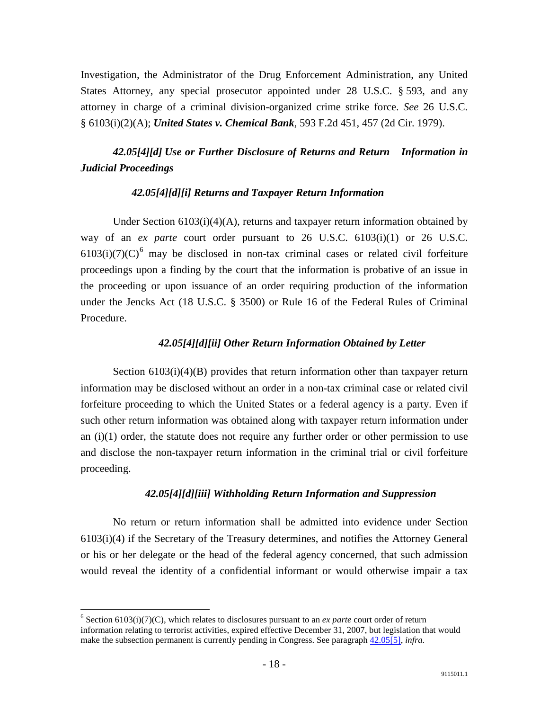Investigation, the Administrator of the Drug Enforcement Administration, any United States Attorney, any special prosecutor appointed under 28 U.S.C. § 593, and any attorney in charge of a criminal division-organized crime strike force. *See* 26 U.S.C. § 6103(i)(2)(A); *United States v. Chemical Bank*, 593 F.2d 451, 457 (2d Cir. 1979).

## <span id="page-19-0"></span> *42.05[4][d] Use or Further Disclosure of Returns and Return Information in Judicial Proceedings*

### <span id="page-19-1"></span> *42.05[4][d][i] Returns and Taxpayer Return Information*

 Under Section 6103(i)(4)(A), returns and taxpayer return information obtained by way of an *ex parte* court order pursuant to 26 U.S.C. 6103(i)(1) or 26 U.S.C.  $6103(i)(7)(C)^6$  $6103(i)(7)(C)^6$  may be disclosed in non-tax criminal cases or related civil forfeiture proceedings upon a finding by the court that the information is probative of an issue in the proceeding or upon issuance of an order requiring production of the information under the Jencks Act (18 U.S.C. § 3500) or Rule 16 of the Federal Rules of Criminal Procedure.

#### <span id="page-19-2"></span> *42.05[4][d][ii] Other Return Information Obtained by Letter*

Section  $6103(i)(4)(B)$  provides that return information other than taxpayer return information may be disclosed without an order in a non-tax criminal case or related civil forfeiture proceeding to which the United States or a federal agency is a party. Even if such other return information was obtained along with taxpayer return information under an  $(i)(1)$  order, the statute does not require any further order or other permission to use and disclose the non-taxpayer return information in the criminal trial or civil forfeiture proceeding.

#### <span id="page-19-3"></span> *42.05[4][d][iii] Withholding Return Information and Suppression*

 No return or return information shall be admitted into evidence under Section 6103(i)(4) if the Secretary of the Treasury determines, and notifies the Attorney General or his or her delegate or the head of the federal agency concerned, that such admission would reveal the identity of a confidential informant or would otherwise impair a tax

<span id="page-19-4"></span> $6$  Section 6103(i)(7)(C), which relates to disclosures pursuant to an *ex parte* court order of return information relating to terrorist activities, expired effective December 31, 2007, but legislation that would make the subsection permanent is currently pending in Congress. See paragrap[h 42.05\[5\],](http://www.justice.gov/tax/readingroom/2008ctm/CTM%20Chapter%2042.htm#s42.05[5]) *infra.*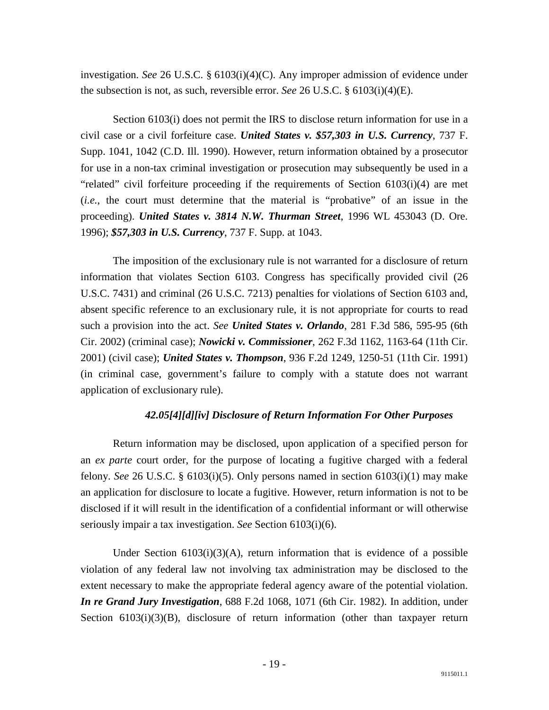investigation. *See* 26 U.S.C. § 6103(i)(4)(C). Any improper admission of evidence under the subsection is not, as such, reversible error. *See* 26 U.S.C. § 6103(i)(4)(E).

 Section 6103(i) does not permit the IRS to disclose return information for use in a civil case or a civil forfeiture case. *United States v. \$57,303 in U.S. Currency*, 737 F. Supp. 1041, 1042 (C.D. Ill. 1990). However, return information obtained by a prosecutor for use in a non-tax criminal investigation or prosecution may subsequently be used in a "related" civil forfeiture proceeding if the requirements of Section 6103(i)(4) are met (*i.e.*, the court must determine that the material is "probative" of an issue in the proceeding). *United States v. 3814 N.W. Thurman Street*, 1996 WL 453043 (D. Ore. 1996); *\$57,303 in U.S. Currency*, 737 F. Supp. at 1043.

 The imposition of the exclusionary rule is not warranted for a disclosure of return information that violates Section 6103. Congress has specifically provided civil (26 U.S.C. 7431) and criminal (26 U.S.C. 7213) penalties for violations of Section 6103 and, absent specific reference to an exclusionary rule, it is not appropriate for courts to read such a provision into the act. *See United States v. Orlando*, 281 F.3d 586, 595-95 (6th Cir. 2002) (criminal case); *Nowicki v. Commissioner*, 262 F.3d 1162, 1163-64 (11th Cir. 2001) (civil case); *United States v. Thompson*, 936 F.2d 1249, 1250-51 (11th Cir. 1991) (in criminal case, government's failure to comply with a statute does not warrant application of exclusionary rule).

#### <span id="page-20-0"></span> *42.05[4][d][iv] Disclosure of Return Information For Other Purposes*

 Return information may be disclosed, upon application of a specified person for an *ex parte* court order, for the purpose of locating a fugitive charged with a federal felony. *See* 26 U.S.C. § 6103(i)(5). Only persons named in section 6103(i)(1) may make an application for disclosure to locate a fugitive. However, return information is not to be disclosed if it will result in the identification of a confidential informant or will otherwise seriously impair a tax investigation. *See* Section 6103(i)(6).

Under Section  $6103(i)(3)(A)$ , return information that is evidence of a possible violation of any federal law not involving tax administration may be disclosed to the extent necessary to make the appropriate federal agency aware of the potential violation. *In re Grand Jury Investigation*, 688 F.2d 1068, 1071 (6th Cir. 1982). In addition, under Section 6103(i)(3)(B), disclosure of return information (other than taxpayer return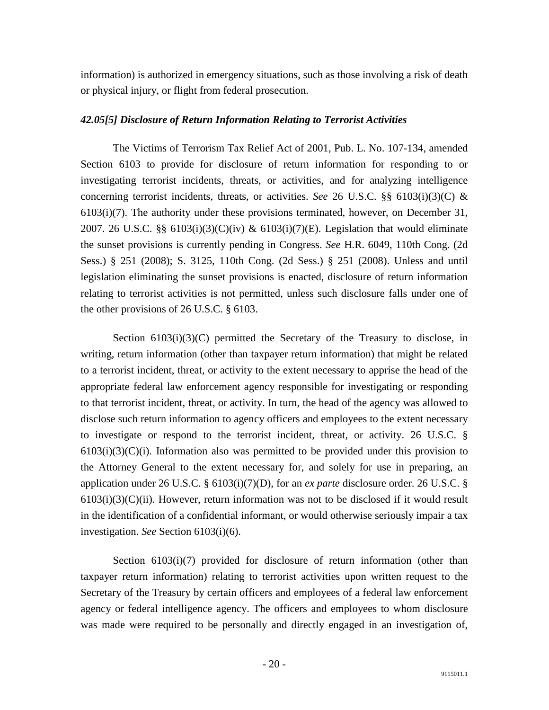information) is authorized in emergency situations, such as those involving a risk of death or physical injury, or flight from federal prosecution.

#### <span id="page-21-0"></span>*42.05[5] Disclosure of Return Information Relating to Terrorist Activities*

 The Victims of Terrorism Tax Relief Act of 2001, Pub. L. No. 107-134, amended Section 6103 to provide for disclosure of return information for responding to or investigating terrorist incidents, threats, or activities, and for analyzing intelligence concerning terrorist incidents, threats, or activities. *See* 26 U.S.C. §§ 6103(i)(3)(C) & 6103(i)(7). The authority under these provisions terminated, however, on December 31, 2007. 26 U.S.C. §§  $6103(i)(3)(C)(iv)$  &  $6103(i)(7)(E)$ . Legislation that would eliminate the sunset provisions is currently pending in Congress. *See* H.R. 6049, 110th Cong. (2d Sess.) § 251 (2008); S. 3125, 110th Cong. (2d Sess.) § 251 (2008). Unless and until legislation eliminating the sunset provisions is enacted, disclosure of return information relating to terrorist activities is not permitted, unless such disclosure falls under one of the other provisions of 26 U.S.C. § 6103.

Section  $6103(i)(3)(C)$  permitted the Secretary of the Treasury to disclose, in writing, return information (other than taxpayer return information) that might be related to a terrorist incident, threat, or activity to the extent necessary to apprise the head of the appropriate federal law enforcement agency responsible for investigating or responding to that terrorist incident, threat, or activity. In turn, the head of the agency was allowed to disclose such return information to agency officers and employees to the extent necessary to investigate or respond to the terrorist incident, threat, or activity. 26 U.S.C. §  $6103(i)(3)(C)(i)$ . Information also was permitted to be provided under this provision to the Attorney General to the extent necessary for, and solely for use in preparing, an application under 26 U.S.C. § 6103(i)(7)(D), for an *ex parte* disclosure order. 26 U.S.C. §  $6103(i)(3)(C)(ii)$ . However, return information was not to be disclosed if it would result in the identification of a confidential informant, or would otherwise seriously impair a tax investigation. *See* Section 6103(i)(6).

Section  $6103(i)(7)$  provided for disclosure of return information (other than taxpayer return information) relating to terrorist activities upon written request to the Secretary of the Treasury by certain officers and employees of a federal law enforcement agency or federal intelligence agency. The officers and employees to whom disclosure was made were required to be personally and directly engaged in an investigation of,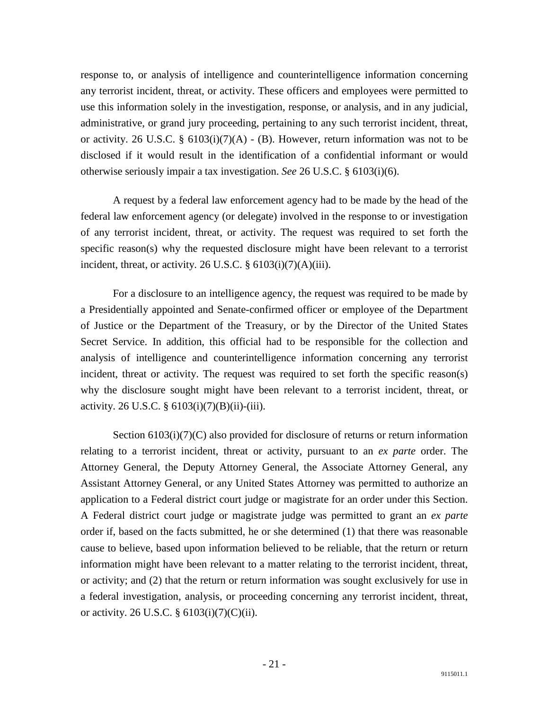response to, or analysis of intelligence and counterintelligence information concerning any terrorist incident, threat, or activity. These officers and employees were permitted to use this information solely in the investigation, response, or analysis, and in any judicial, administrative, or grand jury proceeding, pertaining to any such terrorist incident, threat, or activity. 26 U.S.C. §  $6103(i)(7)(A)$  - (B). However, return information was not to be disclosed if it would result in the identification of a confidential informant or would otherwise seriously impair a tax investigation. *See* 26 U.S.C. § 6103(i)(6).

 A request by a federal law enforcement agency had to be made by the head of the federal law enforcement agency (or delegate) involved in the response to or investigation of any terrorist incident, threat, or activity. The request was required to set forth the specific reason(s) why the requested disclosure might have been relevant to a terrorist incident, threat, or activity. 26 U.S.C.  $\S$  6103(i)(7)(A)(iii).

 For a disclosure to an intelligence agency, the request was required to be made by a Presidentially appointed and Senate-confirmed officer or employee of the Department of Justice or the Department of the Treasury, or by the Director of the United States Secret Service. In addition, this official had to be responsible for the collection and analysis of intelligence and counterintelligence information concerning any terrorist incident, threat or activity. The request was required to set forth the specific reason(s) why the disclosure sought might have been relevant to a terrorist incident, threat, or activity. 26 U.S.C. § 6103(i)(7)(B)(ii)-(iii).

Section  $6103(i)(7)(C)$  also provided for disclosure of returns or return information relating to a terrorist incident, threat or activity, pursuant to an *ex parte* order. The Attorney General, the Deputy Attorney General, the Associate Attorney General, any Assistant Attorney General, or any United States Attorney was permitted to authorize an application to a Federal district court judge or magistrate for an order under this Section. A Federal district court judge or magistrate judge was permitted to grant an *ex parte*  order if, based on the facts submitted, he or she determined (1) that there was reasonable cause to believe, based upon information believed to be reliable, that the return or return information might have been relevant to a matter relating to the terrorist incident, threat, or activity; and (2) that the return or return information was sought exclusively for use in a federal investigation, analysis, or proceeding concerning any terrorist incident, threat, or activity. 26 U.S.C.  $\S$  6103(i)(7)(C)(ii).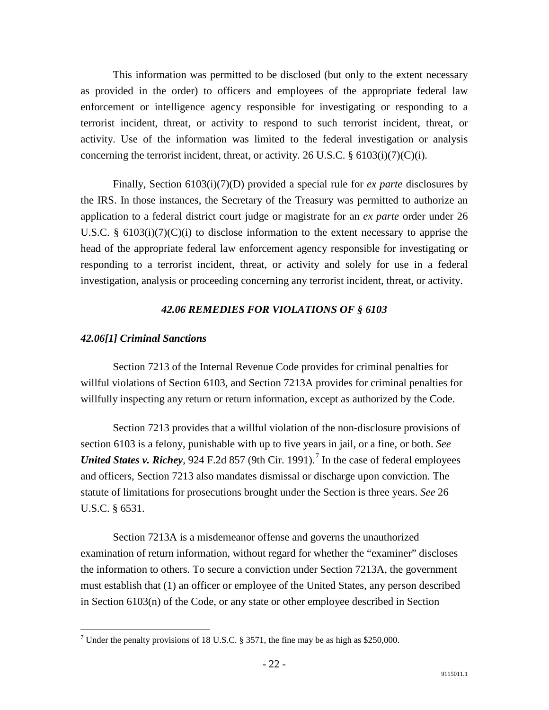This information was permitted to be disclosed (but only to the extent necessary as provided in the order) to officers and employees of the appropriate federal law enforcement or intelligence agency responsible for investigating or responding to a terrorist incident, threat, or activity to respond to such terrorist incident, threat, or activity. Use of the information was limited to the federal investigation or analysis concerning the terrorist incident, threat, or activity. 26 U.S.C.  $\S$  6103(i)(7)(C)(i).

 Finally, Section 6103(i)(7)(D) provided a special rule for *ex parte* disclosures by the IRS. In those instances, the Secretary of the Treasury was permitted to authorize an application to a federal district court judge or magistrate for an *ex parte* order under 26 U.S.C. § 6103(i)(7)(C)(i) to disclose information to the extent necessary to apprise the head of the appropriate federal law enforcement agency responsible for investigating or responding to a terrorist incident, threat, or activity and solely for use in a federal investigation, analysis or proceeding concerning any terrorist incident, threat, or activity.

#### *42.06 REMEDIES FOR VIOLATIONS OF § 6103*

#### <span id="page-23-1"></span><span id="page-23-0"></span>*42.06[1] Criminal Sanctions*

 Section 7213 of the Internal Revenue Code provides for criminal penalties for willful violations of Section 6103, and Section 7213A provides for criminal penalties for willfully inspecting any return or return information, except as authorized by the Code.

 Section 7213 provides that a willful violation of the non-disclosure provisions of section 6103 is a felony, punishable with up to five years in jail, or a fine, or both. *See United States v. Richey*, 924 F.2d 85[7](#page-23-2) (9th Cir. 1991).<sup>7</sup> In the case of federal employees and officers, Section 7213 also mandates dismissal or discharge upon conviction. The statute of limitations for prosecutions brought under the Section is three years. *See* 26 U.S.C. § 6531.

 Section 7213A is a misdemeanor offense and governs the unauthorized examination of return information, without regard for whether the "examiner" discloses the information to others. To secure a conviction under Section 7213A, the government must establish that (1) an officer or employee of the United States, any person described in Section 6103(n) of the Code, or any state or other employee described in Section

<span id="page-23-2"></span><sup>&</sup>lt;sup>7</sup> Under the penalty provisions of 18 U.S.C. § 3571, the fine may be as high as \$250,000.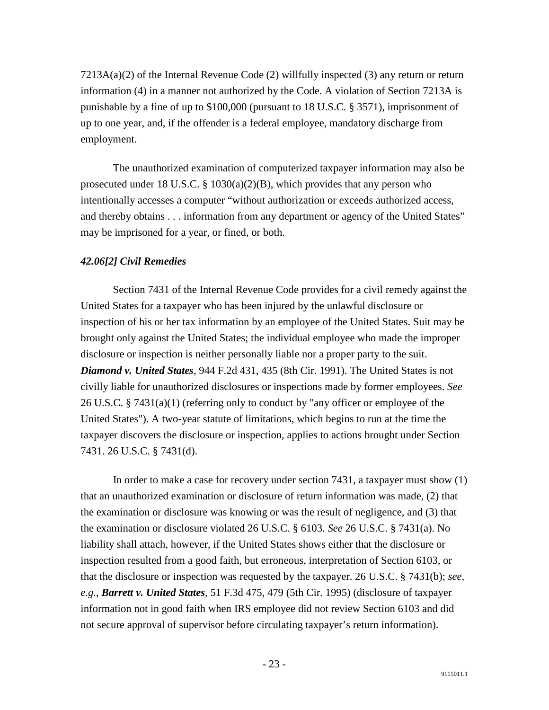$7213A(a)(2)$  of the Internal Revenue Code (2) willfully inspected (3) any return or return information (4) in a manner not authorized by the Code. A violation of Section 7213A is punishable by a fine of up to \$100,000 (pursuant to 18 U.S.C. § 3571), imprisonment of up to one year, and, if the offender is a federal employee, mandatory discharge from employment.

 The unauthorized examination of computerized taxpayer information may also be prosecuted under 18 U.S.C.  $\S$  1030(a)(2)(B), which provides that any person who intentionally accesses a computer "without authorization or exceeds authorized access, and thereby obtains . . . information from any department or agency of the United States" may be imprisoned for a year, or fined, or both.

### <span id="page-24-0"></span>*42.06[2] Civil Remedies*

 Section 7431 of the Internal Revenue Code provides for a civil remedy against the United States for a taxpayer who has been injured by the unlawful disclosure or inspection of his or her tax information by an employee of the United States. Suit may be brought only against the United States; the individual employee who made the improper disclosure or inspection is neither personally liable nor a proper party to the suit. *Diamond v. United States*, 944 F.2d 431, 435 (8th Cir. 1991). The United States is not civilly liable for unauthorized disclosures or inspections made by former employees. *See* 26 U.S.C. § 7431(a)(1) (referring only to conduct by "any officer or employee of the United States"). A two-year statute of limitations, which begins to run at the time the taxpayer discovers the disclosure or inspection, applies to actions brought under Section 7431. 26 U.S.C. § 7431(d).

 In order to make a case for recovery under section 7431, a taxpayer must show (1) that an unauthorized examination or disclosure of return information was made, (2) that the examination or disclosure was knowing or was the result of negligence, and (3) that the examination or disclosure violated 26 U.S.C. § 6103. *See* 26 U.S.C. § 7431(a). No liability shall attach, however, if the United States shows either that the disclosure or inspection resulted from a good faith, but erroneous, interpretation of Section 6103, or that the disclosure or inspection was requested by the taxpayer. 26 U.S.C. § 7431(b); *see, e.g.*, *Barrett v. United States*, 51 F.3d 475, 479 (5th Cir. 1995) (disclosure of taxpayer information not in good faith when IRS employee did not review Section 6103 and did not secure approval of supervisor before circulating taxpayer's return information).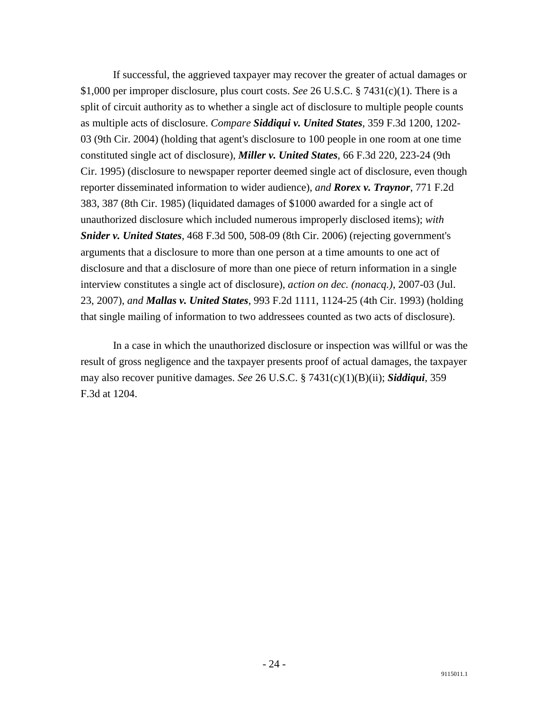If successful, the aggrieved taxpayer may recover the greater of actual damages or \$1,000 per improper disclosure, plus court costs. *See* 26 U.S.C. § 7431(c)(1). There is a split of circuit authority as to whether a single act of disclosure to multiple people counts as multiple acts of disclosure. *Compare Siddiqui v. United States*, 359 F.3d 1200, 1202- 03 (9th Cir. 2004) (holding that agent's disclosure to 100 people in one room at one time constituted single act of disclosure), *Miller v. United States*, 66 F.3d 220, 223-24 (9th Cir. 1995) (disclosure to newspaper reporter deemed single act of disclosure, even though reporter disseminated information to wider audience), *and Rorex v. Traynor*, 771 F.2d 383, 387 (8th Cir. 1985) (liquidated damages of \$1000 awarded for a single act of unauthorized disclosure which included numerous improperly disclosed items); *with Snider v. United States*, 468 F.3d 500, 508-09 (8th Cir. 2006) (rejecting government's arguments that a disclosure to more than one person at a time amounts to one act of disclosure and that a disclosure of more than one piece of return information in a single interview constitutes a single act of disclosure), *action on dec. (nonacq.)*, 2007-03 (Jul. 23, 2007), *and Mallas v. United States*, 993 F.2d 1111, 1124-25 (4th Cir. 1993) (holding that single mailing of information to two addressees counted as two acts of disclosure).

 In a case in which the unauthorized disclosure or inspection was willful or was the result of gross negligence and the taxpayer presents proof of actual damages, the taxpayer may also recover punitive damages. *See* 26 U.S.C. § 7431(c)(1)(B)(ii); *Siddiqui*, 359 F.3d at 1204.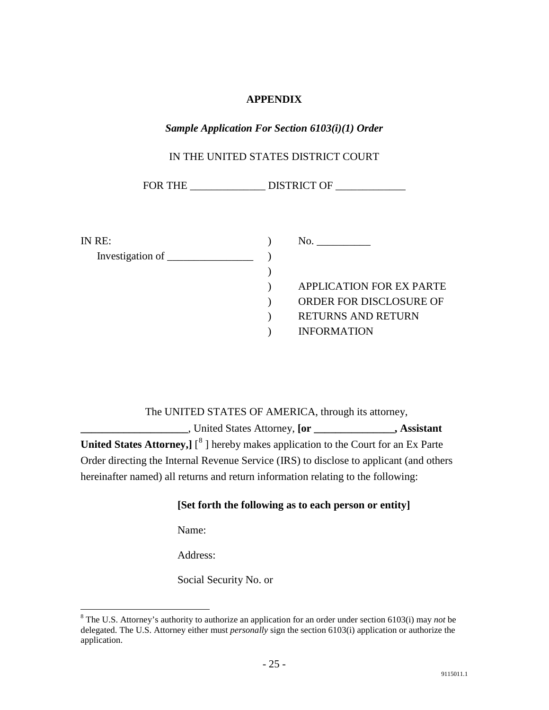### **APPENDIX**

### <span id="page-26-1"></span><span id="page-26-0"></span>*Sample Application For Section 6103(i)(1) Order*

### IN THE UNITED STATES DISTRICT COURT

FOR THE \_\_\_\_\_\_\_\_\_\_\_\_\_\_ DISTRICT OF \_\_\_\_\_\_\_\_\_\_\_\_\_

| IN RE:                    | No.                             |
|---------------------------|---------------------------------|
| Investigation of ________ |                                 |
|                           |                                 |
|                           | <b>APPLICATION FOR EX PARTE</b> |
|                           | ORDER FOR DISCLOSURE OF         |
|                           | <b>RETURNS AND RETURN</b>       |
|                           | <b>INFORMATION</b>              |

 The UNITED STATES OF AMERICA, through its attorney, **\_\_\_\_\_\_\_\_\_\_\_\_\_\_\_\_\_\_\_\_**, United States Attorney, **[or \_\_\_\_\_\_\_\_\_\_\_\_\_\_\_, Assistant**  United States Attorney,  $\int_0^8$  $\int_0^8$  ] hereby makes application to the Court for an Ex Parte Order directing the Internal Revenue Service (IRS) to disclose to applicant (and others hereinafter named) all returns and return information relating to the following:

#### **[Set forth the following as to each person or entity]**

Name:

Address:

Social Security No. or

<span id="page-26-2"></span> <sup>8</sup> The U.S. Attorney's authority to authorize an application for an order under section 6103(i) may *not* be delegated. The U.S. Attorney either must *personally* sign the section 6103(i) application or authorize the application.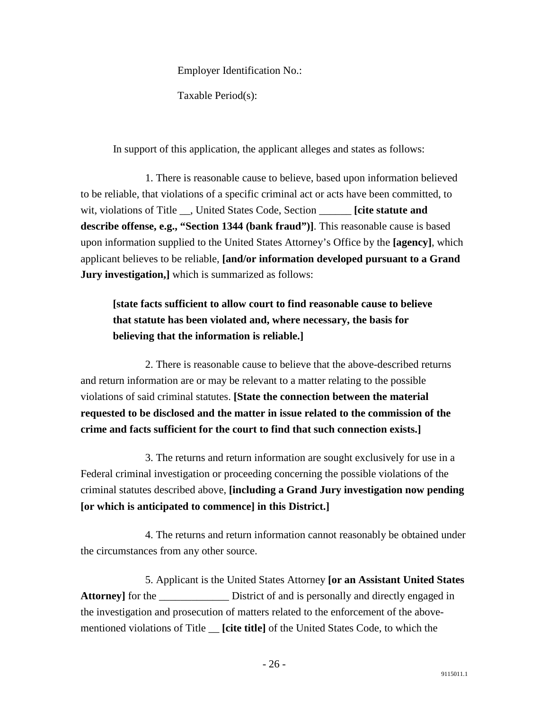Employer Identification No.:

Taxable Period(s):

In support of this application, the applicant alleges and states as follows:

 1. There is reasonable cause to believe, based upon information believed to be reliable, that violations of a specific criminal act or acts have been committed, to wit, violations of Title \_\_, United States Code, Section \_\_\_\_\_\_ **[cite statute and describe offense, e.g., "Section 1344 (bank fraud")]**. This reasonable cause is based upon information supplied to the United States Attorney's Office by the **[agency]**, which applicant believes to be reliable, **[and/or information developed pursuant to a Grand Jury investigation,** which is summarized as follows:

# **[state facts sufficient to allow court to find reasonable cause to believe that statute has been violated and, where necessary, the basis for believing that the information is reliable.]**

 2. There is reasonable cause to believe that the above-described returns and return information are or may be relevant to a matter relating to the possible violations of said criminal statutes. **[State the connection between the material requested to be disclosed and the matter in issue related to the commission of the crime and facts sufficient for the court to find that such connection exists.]**

 3. The returns and return information are sought exclusively for use in a Federal criminal investigation or proceeding concerning the possible violations of the criminal statutes described above, **[including a Grand Jury investigation now pending [or which is anticipated to commence] in this District.]**

 4. The returns and return information cannot reasonably be obtained under the circumstances from any other source.

 5. Applicant is the United States Attorney **[or an Assistant United States**  Attorney] for the <u>District of and is personally and directly engaged in</u> the investigation and prosecution of matters related to the enforcement of the abovementioned violations of Title \_\_ **[cite title]** of the United States Code, to which the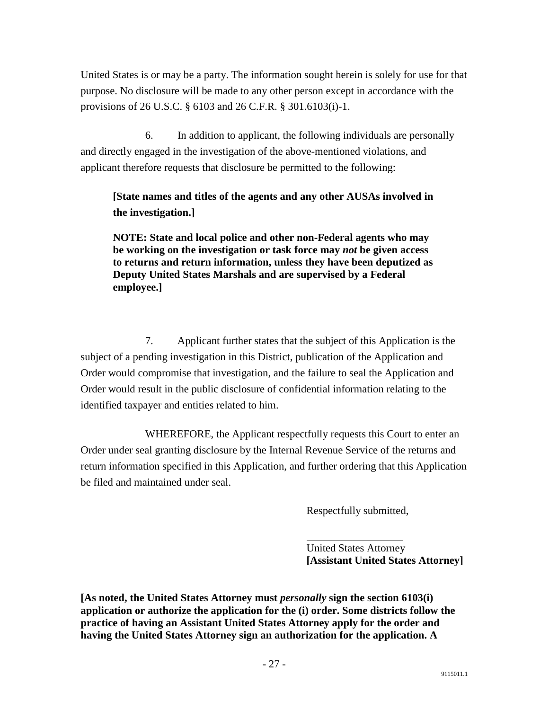United States is or may be a party. The information sought herein is solely for use for that purpose. No disclosure will be made to any other person except in accordance with the provisions of 26 U.S.C. § 6103 and 26 C.F.R. § 301.6103(i)-1.

 6. In addition to applicant, the following individuals are personally and directly engaged in the investigation of the above-mentioned violations, and applicant therefore requests that disclosure be permitted to the following:

## **[State names and titles of the agents and any other AUSAs involved in the investigation.]**

**NOTE: State and local police and other non-Federal agents who may be working on the investigation or task force may** *not* **be given access to returns and return information, unless they have been deputized as Deputy United States Marshals and are supervised by a Federal employee.]**

 7. Applicant further states that the subject of this Application is the subject of a pending investigation in this District, publication of the Application and Order would compromise that investigation, and the failure to seal the Application and Order would result in the public disclosure of confidential information relating to the identified taxpayer and entities related to him.

 WHEREFORE, the Applicant respectfully requests this Court to enter an Order under seal granting disclosure by the Internal Revenue Service of the returns and return information specified in this Application, and further ordering that this Application be filed and maintained under seal.

Respectfully submitted,

 United States Attorney **[Assistant United States Attorney]**

**[As noted, the United States Attorney must** *personally* **sign the section 6103(i) application or authorize the application for the (i) order. Some districts follow the practice of having an Assistant United States Attorney apply for the order and having the United States Attorney sign an authorization for the application. A**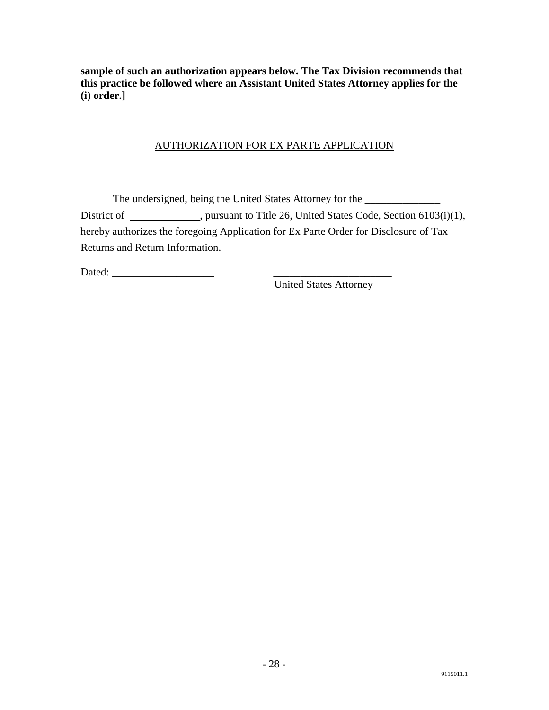**sample of such an authorization appears below. The Tax Division recommends that this practice be followed where an Assistant United States Attorney applies for the (i) order.]**

### AUTHORIZATION FOR EX PARTE APPLICATION

The undersigned, being the United States Attorney for the \_\_\_\_\_\_\_\_\_\_\_\_\_\_\_\_\_\_\_\_\_\_ District of \_\_\_\_\_\_\_\_\_\_, pursuant to Title 26, United States Code, Section 6103(i)(1), hereby authorizes the foregoing Application for Ex Parte Order for Disclosure of Tax Returns and Return Information.

Dated:

United States Attorney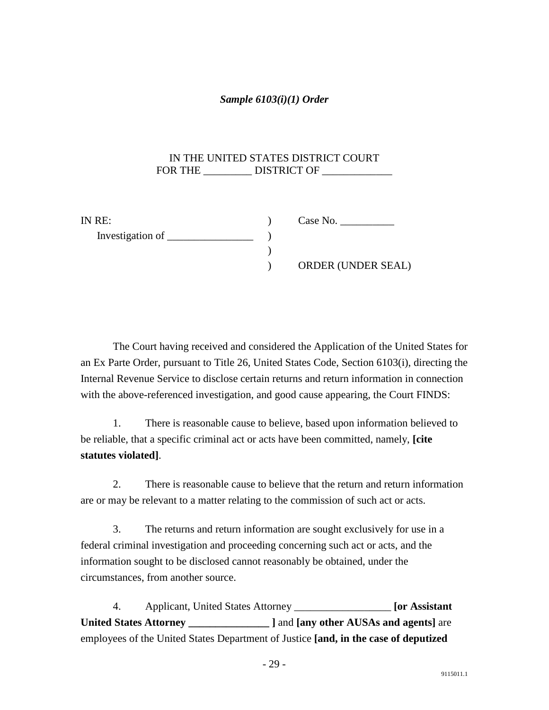### <span id="page-30-0"></span>*Sample 6103(i)(1) Order*

### IN THE UNITED STATES DISTRICT COURT FOR THE \_\_\_\_\_\_\_\_\_\_ DISTRICT OF \_\_\_\_\_\_\_\_\_\_\_\_\_

| IN RE: | Case No.                  |
|--------|---------------------------|
|        |                           |
|        |                           |
|        | <b>ORDER (UNDER SEAL)</b> |

 The Court having received and considered the Application of the United States for an Ex Parte Order, pursuant to Title 26, United States Code, Section 6103(i), directing the Internal Revenue Service to disclose certain returns and return information in connection with the above-referenced investigation, and good cause appearing, the Court FINDS:

 1. There is reasonable cause to believe, based upon information believed to be reliable, that a specific criminal act or acts have been committed, namely, **[cite statutes violated]**.

 2. There is reasonable cause to believe that the return and return information are or may be relevant to a matter relating to the commission of such act or acts.

 3. The returns and return information are sought exclusively for use in a federal criminal investigation and proceeding concerning such act or acts, and the information sought to be disclosed cannot reasonably be obtained, under the circumstances, from another source.

 4. Applicant, United States Attorney \_\_\_\_\_\_\_\_\_\_\_\_\_\_\_\_\_\_ **[or Assistant United States Attorney \_\_\_\_\_\_\_\_\_\_\_\_\_\_\_ ]** and **[any other AUSAs and agents]** are employees of the United States Department of Justice **[and, in the case of deputized**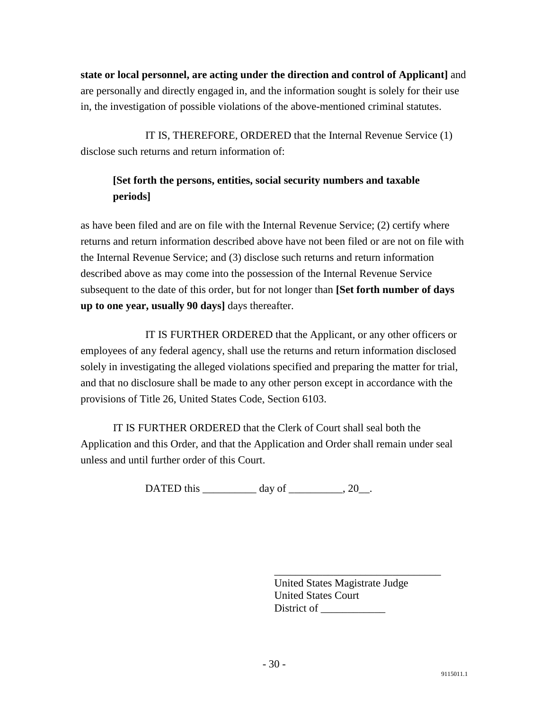**state or local personnel, are acting under the direction and control of Applicant]** and are personally and directly engaged in, and the information sought is solely for their use in, the investigation of possible violations of the above-mentioned criminal statutes.

 IT IS, THEREFORE, ORDERED that the Internal Revenue Service (1) disclose such returns and return information of:

## **[Set forth the persons, entities, social security numbers and taxable periods]**

as have been filed and are on file with the Internal Revenue Service; (2) certify where returns and return information described above have not been filed or are not on file with the Internal Revenue Service; and (3) disclose such returns and return information described above as may come into the possession of the Internal Revenue Service subsequent to the date of this order, but for not longer than **[Set forth number of days up to one year, usually 90 days]** days thereafter.

 IT IS FURTHER ORDERED that the Applicant, or any other officers or employees of any federal agency, shall use the returns and return information disclosed solely in investigating the alleged violations specified and preparing the matter for trial, and that no disclosure shall be made to any other person except in accordance with the provisions of Title 26, United States Code, Section 6103.

 IT IS FURTHER ORDERED that the Clerk of Court shall seal both the Application and this Order, and that the Application and Order shall remain under seal unless and until further order of this Court.

DATED this day of  $.20$ .

 $\frac{1}{\sqrt{2}}$  ,  $\frac{1}{\sqrt{2}}$  ,  $\frac{1}{\sqrt{2}}$  ,  $\frac{1}{\sqrt{2}}$  ,  $\frac{1}{\sqrt{2}}$  ,  $\frac{1}{\sqrt{2}}$  ,  $\frac{1}{\sqrt{2}}$  ,  $\frac{1}{\sqrt{2}}$  ,  $\frac{1}{\sqrt{2}}$  ,  $\frac{1}{\sqrt{2}}$  ,  $\frac{1}{\sqrt{2}}$  ,  $\frac{1}{\sqrt{2}}$  ,  $\frac{1}{\sqrt{2}}$  ,  $\frac{1}{\sqrt{2}}$  ,  $\frac{1}{\sqrt{2}}$ United States Magistrate Judge United States Court District of \_\_\_\_\_\_\_\_\_\_\_\_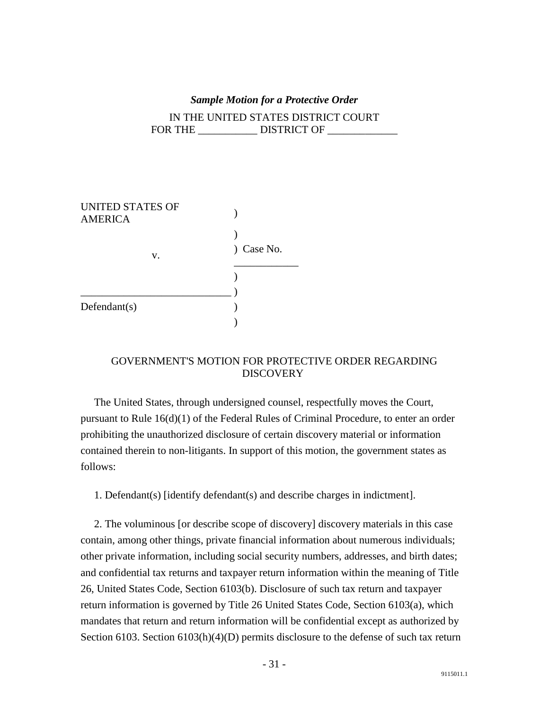#### *Sample Motion for a Protective Order*

<span id="page-32-0"></span>IN THE UNITED STATES DISTRICT COURT FOR THE DISTRICT OF

| <b>UNITED STATES OF</b><br><b>AMERICA</b> |                           |
|-------------------------------------------|---------------------------|
|                                           |                           |
| V.                                        | Case No.<br>$\mathcal{L}$ |
|                                           |                           |
|                                           |                           |
| Defendant(s)                              |                           |
|                                           |                           |

### GOVERNMENT'S MOTION FOR PROTECTIVE ORDER REGARDING **DISCOVERY**

 The United States, through undersigned counsel, respectfully moves the Court, pursuant to Rule 16(d)(1) of the Federal Rules of Criminal Procedure, to enter an order prohibiting the unauthorized disclosure of certain discovery material or information contained therein to non-litigants. In support of this motion, the government states as follows:

1. Defendant(s) [identify defendant(s) and describe charges in indictment].

 2. The voluminous [or describe scope of discovery] discovery materials in this case contain, among other things, private financial information about numerous individuals; other private information, including social security numbers, addresses, and birth dates; and confidential tax returns and taxpayer return information within the meaning of Title 26, United States Code, Section 6103(b). Disclosure of such tax return and taxpayer return information is governed by Title 26 United States Code, Section 6103(a), which mandates that return and return information will be confidential except as authorized by Section 6103. Section 6103(h)(4)(D) permits disclosure to the defense of such tax return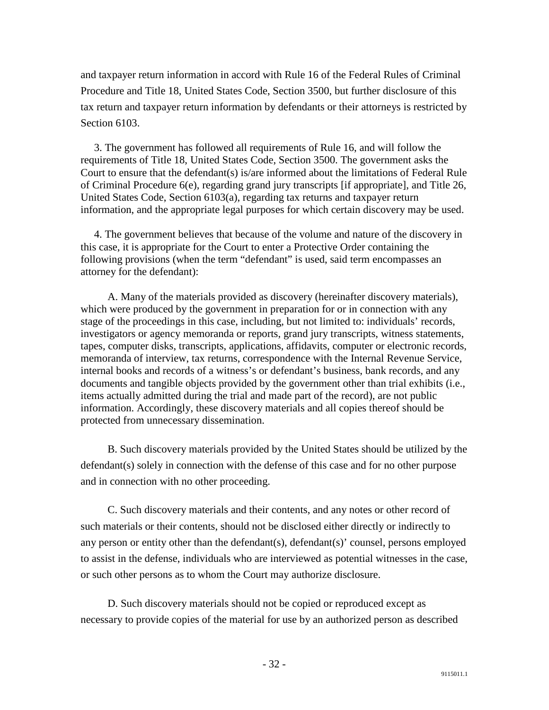and taxpayer return information in accord with Rule 16 of the Federal Rules of Criminal Procedure and Title 18, United States Code, Section 3500, but further disclosure of this tax return and taxpayer return information by defendants or their attorneys is restricted by Section 6103.

 3. The government has followed all requirements of Rule 16, and will follow the requirements of Title 18, United States Code, Section 3500. The government asks the Court to ensure that the defendant(s) is/are informed about the limitations of Federal Rule of Criminal Procedure 6(e), regarding grand jury transcripts [if appropriate], and Title 26, United States Code, Section 6103(a), regarding tax returns and taxpayer return information, and the appropriate legal purposes for which certain discovery may be used.

 4. The government believes that because of the volume and nature of the discovery in this case, it is appropriate for the Court to enter a Protective Order containing the following provisions (when the term "defendant" is used, said term encompasses an attorney for the defendant):

 A. Many of the materials provided as discovery (hereinafter discovery materials), which were produced by the government in preparation for or in connection with any stage of the proceedings in this case, including, but not limited to: individuals' records, investigators or agency memoranda or reports, grand jury transcripts, witness statements, tapes, computer disks, transcripts, applications, affidavits, computer or electronic records, memoranda of interview, tax returns, correspondence with the Internal Revenue Service, internal books and records of a witness's or defendant's business, bank records, and any documents and tangible objects provided by the government other than trial exhibits (i.e., items actually admitted during the trial and made part of the record), are not public information. Accordingly, these discovery materials and all copies thereof should be protected from unnecessary dissemination.

 B. Such discovery materials provided by the United States should be utilized by the defendant(s) solely in connection with the defense of this case and for no other purpose and in connection with no other proceeding.

 C. Such discovery materials and their contents, and any notes or other record of such materials or their contents, should not be disclosed either directly or indirectly to any person or entity other than the defendant(s), defendant(s)' counsel, persons employed to assist in the defense, individuals who are interviewed as potential witnesses in the case, or such other persons as to whom the Court may authorize disclosure.

 D. Such discovery materials should not be copied or reproduced except as necessary to provide copies of the material for use by an authorized person as described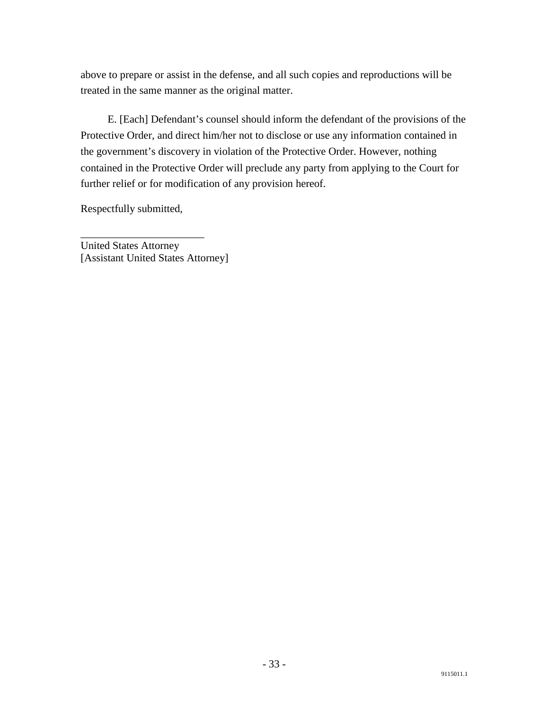above to prepare or assist in the defense, and all such copies and reproductions will be treated in the same manner as the original matter.

 E. [Each] Defendant's counsel should inform the defendant of the provisions of the Protective Order, and direct him/her not to disclose or use any information contained in the government's discovery in violation of the Protective Order. However, nothing contained in the Protective Order will preclude any party from applying to the Court for further relief or for modification of any provision hereof.

Respectfully submitted,

\_\_\_\_\_\_\_\_\_\_\_\_\_\_\_\_\_\_\_\_\_\_\_

United States Attorney [Assistant United States Attorney]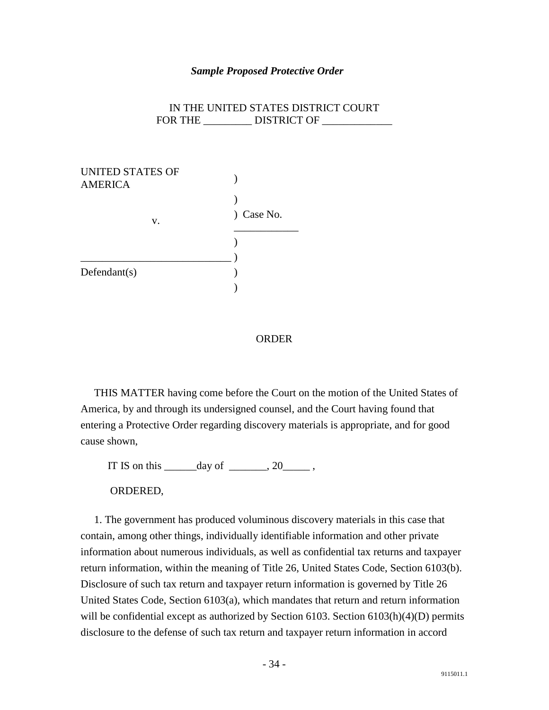#### *Sample Proposed Protective Order*

|         | IN THE UNITED STATES DISTRICT COURT |
|---------|-------------------------------------|
| FOR THE | DISTRICT OF                         |

| UNITED STATES OF<br><b>AMERICA</b> |            |
|------------------------------------|------------|
|                                    |            |
| V.                                 | ) Case No. |
|                                    |            |
|                                    |            |
| Defendant(s)                       |            |
|                                    |            |

#### **ORDER**

 THIS MATTER having come before the Court on the motion of the United States of America, by and through its undersigned counsel, and the Court having found that entering a Protective Order regarding discovery materials is appropriate, and for good cause shown,

IT IS on this  $\_\_\_\_\_\_\_\$ {day\ of\ \\_\\_\\_\\_\,, 20 \\_\\_\\_\,,

ORDERED,

 1. The government has produced voluminous discovery materials in this case that contain, among other things, individually identifiable information and other private information about numerous individuals, as well as confidential tax returns and taxpayer return information, within the meaning of Title 26, United States Code, Section 6103(b). Disclosure of such tax return and taxpayer return information is governed by Title 26 United States Code, Section 6103(a), which mandates that return and return information will be confidential except as authorized by Section 6103. Section 6103(h)(4)(D) permits disclosure to the defense of such tax return and taxpayer return information in accord